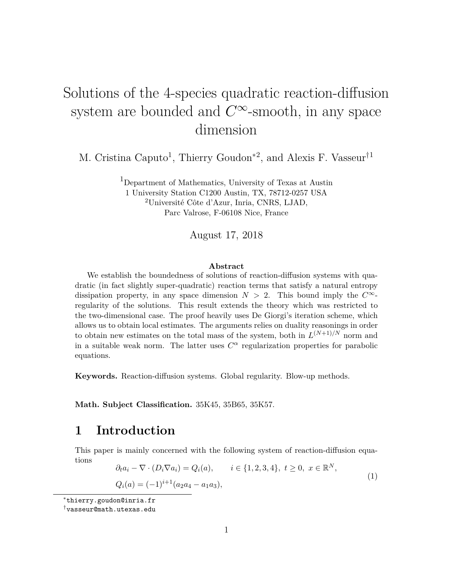# Solutions of the 4-species quadratic reaction-diffusion system are bounded and  $C^{\infty}$ -smooth, in any space dimension

M. Cristina Caputo<sup>1</sup>, Thierry Goudon<sup>\*2</sup>, and Alexis F. Vasseur<sup>†1</sup>

<sup>1</sup>Department of Mathematics, University of Texas at Austin 1 University Station C1200 Austin, TX, 78712-0257 USA <sup>2</sup>Université Côte d'Azur, Inria, CNRS, LJAD, Parc Valrose, F-06108 Nice, France

August 17, 2018

#### **Abstract**

We establish the boundedness of solutions of reaction-diffusion systems with quadratic (in fact slightly super-quadratic) reaction terms that satisfy a natural entropy dissipation property, in any space dimension  $N > 2$ . This bound imply the  $C^{\infty}$ regularity of the solutions. This result extends the theory which was restricted to the two-dimensional case. The proof heavily uses De Giorgi's iteration scheme, which allows us to obtain local estimates. The arguments relies on duality reasonings in order to obtain new estimates on the total mass of the system, both in  $L^{(N+1)/N}$  norm and in a suitable weak norm. The latter uses  $C^{\alpha}$  regularization properties for parabolic equations.

**Keywords.** Reaction-diffusion systems. Global regularity. Blow-up methods.

**Math. Subject Classification.** 35K45, 35B65, 35K57.

### **1 Introduction**

This paper is mainly concerned with the following system of reaction-diffusion equations

$$
\partial_t a_i - \nabla \cdot (D_i \nabla a_i) = Q_i(a), \qquad i \in \{1, 2, 3, 4\}, \ t \ge 0, \ x \in \mathbb{R}^N,
$$
  

$$
Q_i(a) = (-1)^{i+1} (a_2 a_4 - a_1 a_3), \qquad (1)
$$

<sup>∗</sup>thierry.goudon@inria.fr

<sup>†</sup>vasseur@math.utexas.edu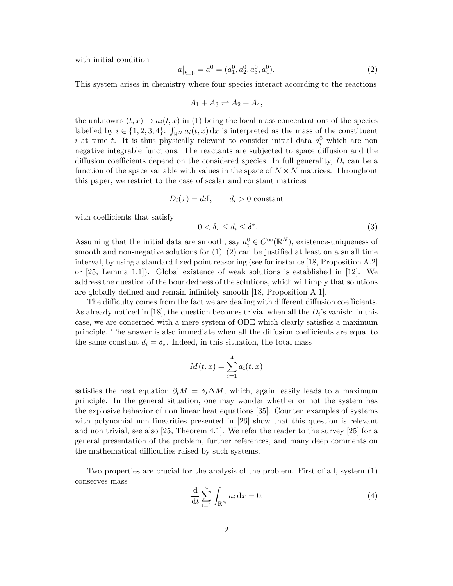with initial condition

$$
a\big|_{t=0} = a^0 = (a_1^0, a_2^0, a_3^0, a_4^0). \tag{2}
$$

This system arises in chemistry where four species interact according to the reactions

$$
A_1 + A_3 \rightleftharpoons A_2 + A_4,
$$

the unknowns  $(t, x) \mapsto a_i(t, x)$  in (1) being the local mass concentrations of the species labelled by  $i \in \{1, 2, 3, 4\}$ :  $\int_{\mathbb{R}^N} a_i(t, x) dx$  is interpreted as the mass of the constituent *i* at time *t*. It is thus physically relevant to consider initial data  $a_i^0$  which are non negative integrable functions. The reactants are subjected to space diffusion and the diffusion coefficients depend on the considered species. In full generality,  $D_i$  can be a function of the space variable with values in the space of  $N \times N$  matrices. Throughout this paper, we restrict to the case of scalar and constant matrices

$$
D_i(x) = d_i \mathbb{I}, \qquad d_i > 0 \text{ constant}
$$

with coefficients that satisfy

$$
0 < \delta_\star \le d_i \le \delta^\star. \tag{3}
$$

Assuming that the initial data are smooth, say  $a_i^0 \in C^\infty(\mathbb{R}^N)$ , existence-uniqueness of smooth and non-negative solutions for  $(1)-(2)$  can be justified at least on a small time interval, by using a standard fixed point reasoning (see for instance [18, Proposition A.2] or [25, Lemma 1.1]). Global existence of weak solutions is established in [12]. We address the question of the boundedness of the solutions, which will imply that solutions are globally defined and remain infinitely smooth [18, Proposition A.1].

The difficulty comes from the fact we are dealing with different diffusion coefficients. As already noticed in [18], the question becomes trivial when all the  $D_i$ 's vanish: in this case, we are concerned with a mere system of ODE which clearly satisfies a maximum principle. The answer is also immediate when all the diffusion coefficients are equal to the same constant  $d_i = \delta_{\star}$ . Indeed, in this situation, the total mass

$$
M(t,x) = \sum_{i=1}^{4} a_i(t,x)
$$

satisfies the heat equation  $\partial_t M = \delta \chi \Delta M$ , which, again, easily leads to a maximum principle. In the general situation, one may wonder whether or not the system has the explosive behavior of non linear heat equations [35]. Counter–examples of systems with polynomial non linearities presented in [26] show that this question is relevant and non trivial, see also [25, Theorem 4.1]. We refer the reader to the survey [25] for a general presentation of the problem, further references, and many deep comments on the mathematical difficulties raised by such systems.

Two properties are crucial for the analysis of the problem. First of all, system (1) conserves mass

$$
\frac{\mathrm{d}}{\mathrm{d}t} \sum_{i=1}^{4} \int_{\mathbb{R}^N} a_i \, \mathrm{d}x = 0. \tag{4}
$$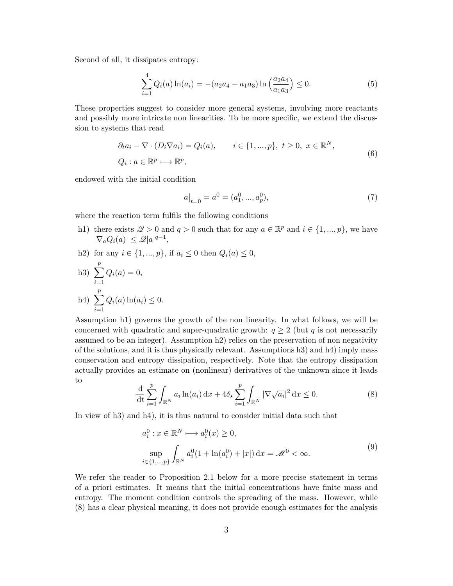Second of all, it dissipates entropy:

$$
\sum_{i=1}^{4} Q_i(a) \ln(a_i) = -(a_2 a_4 - a_1 a_3) \ln\left(\frac{a_2 a_4}{a_1 a_3}\right) \le 0.
$$
 (5)

These properties suggest to consider more general systems, involving more reactants and possibly more intricate non linearities. To be more specific, we extend the discussion to systems that read

$$
\partial_t a_i - \nabla \cdot (D_i \nabla a_i) = Q_i(a), \qquad i \in \{1, ..., p\}, \ t \ge 0, \ x \in \mathbb{R}^N,
$$
  

$$
Q_i : a \in \mathbb{R}^p \longrightarrow \mathbb{R}^p,
$$
 (6)

endowed with the initial condition

$$
a|_{t=0} = a^0 = (a_1^0, ..., a_p^0),
$$
\n<sup>(7)</sup>

where the reaction term fulfils the following conditions

- h1) there exists  $\mathcal{Q} > 0$  and  $q > 0$  such that for any  $a \in \mathbb{R}^p$  and  $i \in \{1, ..., p\}$ , we have  $|\nabla_a Q_i(a)| \leq \mathcal{Q}|a|^{q-1},$
- h2) for any *i* ∈ {1, ..., *p*}, if *a*<sub>*i*</sub> ≤ 0 then  $Q$ <sup>*i*</sup>(*a*) ≤ 0,

h3) 
$$
\sum_{i=1}^{p} Q_i(a) = 0,
$$
  
h4) 
$$
\sum_{i=1}^{p} Q_i(a) \ln(a_i) \le 0.
$$

Assumption h1) governs the growth of the non linearity. In what follows, we will be concerned with quadratic and super-quadratic growth:  $q \geq 2$  (but *q* is not necessarily assumed to be an integer). Assumption h2) relies on the preservation of non negativity of the solutions, and it is thus physically relevant. Assumptions h3) and h4) imply mass conservation and entropy dissipation, respectively. Note that the entropy dissipation actually provides an estimate on (nonlinear) derivatives of the unknown since it leads to

$$
\frac{\mathrm{d}}{\mathrm{d}t} \sum_{i=1}^{p} \int_{\mathbb{R}^N} a_i \ln(a_i) \, \mathrm{d}x + 4\delta_\star \sum_{i=1}^{p} \int_{\mathbb{R}^N} |\nabla \sqrt{a_i}|^2 \, \mathrm{d}x \le 0. \tag{8}
$$

In view of h3) and h4), it is thus natural to consider initial data such that

$$
a_i^0: x \in \mathbb{R}^N \longmapsto a_i^0(x) \ge 0,
$$
  
\n
$$
\sup_{i \in \{1, \dots, p\}} \int_{\mathbb{R}^N} a_i^0(1 + \ln(a_i^0) + |x|) dx = \mathcal{M}^0 < \infty.
$$
\n(9)

We refer the reader to Proposition 2.1 below for a more precise statement in terms of a priori estimates. It means that the initial concentrations have finite mass and entropy. The moment condition controls the spreading of the mass. However, while (8) has a clear physical meaning, it does not provide enough estimates for the analysis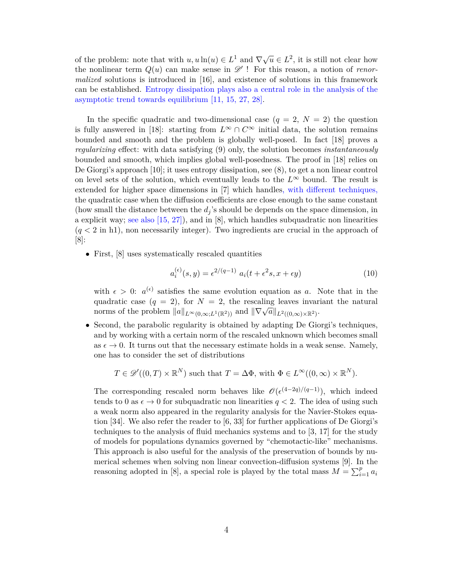of the problem: note that with  $u, u \ln(u) \in L^1$  and  $\nabla \sqrt{u} \in L^2$ , it is still not clear how the nonlinear term  $Q(u)$  can make sense in  $\mathscr{D}'$ ! For this reason, a notion of *renormalized* solutions is introduced in [16], and existence of solutions in this framework can be established. Entropy dissipation plays also a central role in the analysis of the asymptotic trend towards equilibrium [11, 15, 27, 28].

In the specific quadratic and two-dimensional case  $(q = 2, N = 2)$  the question is fully answered in [18]: starting from  $L^{\infty} \cap C^{\infty}$  initial data, the solution remains bounded and smooth and the problem is globally well-posed. In fact [18] proves a *regularizing* effect: with data satisfying (9) only, the solution becomes *instantaneously* bounded and smooth, which implies global well-posedness. The proof in [18] relies on De Giorgi's approach [10]; it uses entropy dissipation, see (8), to get a non linear control on level sets of the solution, which eventually leads to the  $L^{\infty}$  bound. The result is extended for higher space dimensions in [7] which handles, with different techniques, the quadratic case when the diffusion coefficients are close enough to the same constant (how small the distance between the *d<sup>j</sup>* 's should be depends on the space dimension, in a explicit way; see also [15, 27]), and in [8], which handles subquadratic non linearities (*q <* 2 in h1), non necessarily integer). Two ingredients are crucial in the approach of [8]:

• First, [8] uses systematically rescaled quantities

$$
a_i^{(\epsilon)}(s,y) = \epsilon^{2/(q-1)} a_i(t + \epsilon^2 s, x + \epsilon y)
$$
\n(10)

with  $\epsilon > 0$ :  $a^{(\epsilon)}$  satisfies the same evolution equation as *a*. Note that in the quadratic case  $(q = 2)$ , for  $N = 2$ , the rescaling leaves invariant the natural quadratic case  $(q - 2)$ , for  $N = 2$ , the rescaling leaves fival norms of the problem  $||a||_{L^{\infty}(0,\infty);L^1(\mathbb{R}^2)}$  and  $||\nabla \sqrt{a}||_{L^2((0,\infty)\times\mathbb{R}^2)}$ .

• Second, the parabolic regularity is obtained by adapting De Giorgi's techniques, and by working with a certain norm of the rescaled unknown which becomes small as  $\epsilon \to 0$ . It turns out that the necessary estimate holds in a weak sense. Namely, one has to consider the set of distributions

$$
T \in \mathscr{D}'((0,T) \times \mathbb{R}^N)
$$
 such that  $T = \Delta \Phi$ , with  $\Phi \in L^{\infty}((0,\infty) \times \mathbb{R}^N)$ .

The corresponding rescaled norm behaves like  $\mathcal{O}(\epsilon^{(4-2q)/(q-1)})$ , which indeed tends to 0 as  $\epsilon \to 0$  for subquadratic non linearities  $q < 2$ . The idea of using such a weak norm also appeared in the regularity analysis for the Navier-Stokes equation [34]. We also refer the reader to [6, 33] for further applications of De Giorgi's techniques to the analysis of fluid mechanics systems and to [3, 17] for the study of models for populations dynamics governed by "chemotactic-like" mechanisms. This approach is also useful for the analysis of the preservation of bounds by numerical schemes when solving non linear convection-diffusion systems [9]. In the reasoning adopted in [8], a special role is played by the total mass  $M = \sum_{i=1}^{p} a_i$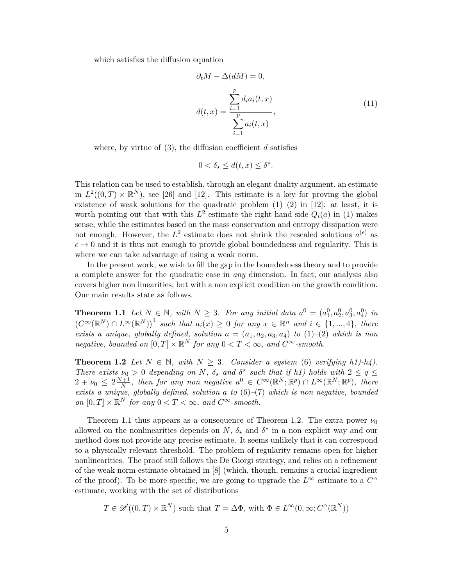which satisfies the diffusion equation

$$
\partial_t M - \Delta(dM) = 0,
$$
  

$$
d(t, x) = \frac{\sum_{i=1}^p d_i a_i(t, x)}{\sum_{i=1}^p a_i(t, x)},
$$
\n(11)

where, by virtue of (3), the diffusion coefficient *d* satisfies

$$
0 < \delta_\star \le d(t, x) \le \delta^\star.
$$

This relation can be used to establish, through an elegant duality argument, an estimate in  $L^2((0,T) \times \mathbb{R}^N)$ , see [26] and [12]. This estimate is a key for proving the global existence of weak solutions for the quadratic problem  $(1)$ – $(2)$  in [12]: at least, it is worth pointing out that with this  $L^2$  estimate the right hand side  $Q_i(a)$  in (1) makes sense, while the estimates based on the mass conservation and entropy dissipation were not enough. However, the  $L^2$  estimate does not shrink the rescaled solutions  $a^{(\epsilon)}$  as  $\epsilon \to 0$  and it is thus not enough to provide global boundedness and regularity. This is where we can take advantage of using a weak norm.

In the present work, we wish to fill the gap in the boundedness theory and to provide a complete answer for the quadratic case in *any* dimension. In fact, our analysis also covers higher non linearities, but with a non explicit condition on the growth condition. Our main results state as follows.

**Theorem 1.1** Let  $N \in \mathbb{N}$ , with  $N \geq 3$ . For any initial data  $a^0 = (a_1^0, a_2^0, a_3^0, a_4^0)$  in  $(C^{\infty}(\mathbb{R}^N) \cap L^{\infty}(\mathbb{R}^N))^4$  such that  $a_i(x) \geq 0$  for any  $x \in \mathbb{R}^n$  and  $i \in \{1, ..., 4\}$ , there *exists a unique, globally defined, solution*  $a = (a_1, a_2, a_3, a_4)$  to  $(1)–(2)$  *which is non negative, bounded on*  $[0, T] \times \mathbb{R}^N$  *for any*  $0 < T < \infty$ *, and*  $C^{\infty}$ *-smooth.* 

**Theorem 1.2** *Let*  $N \in \mathbb{N}$ *, with*  $N \geq 3$ *. Consider a system* (6) *verifying h1)-h4)*. *There exists*  $\nu_0 > 0$  *depending on N,*  $\delta_{\star}$  *and*  $\delta^{\star}$  *such that if h1) holds with*  $2 \leq q \leq$  $2 + \nu_0 \leq 2 \frac{N+1}{N}$  $\frac{N+1}{N}$ *, then for any non negative*  $a^0 \in C^{\infty}(\mathbb{R}^N;\mathbb{R}^p) \cap L^{\infty}(\mathbb{R}^N;\mathbb{R}^p)$ *, there exists a unique, globally defined, solution a to* (6)*–*(7) *which is non negative, bounded on*  $[0, T] \times \mathbb{R}^N$  *for any*  $0 < T < \infty$ *, and*  $C^{\infty}$ *-smooth.* 

Theorem 1.1 thus appears as a consequence of Theorem 1.2. The extra power  $\nu_0$ allowed on the nonlinearities depends on  $N$ ,  $\delta_{\star}$  and  $\delta^{\star}$  in a non explicit way and our method does not provide any precise estimate. It seems unlikely that it can correspond to a physically relevant threshold. The problem of regularity remains open for higher nonlinearities. The proof still follows the De Giorgi strategy, and relies on a refinement of the weak norm estimate obtained in [8] (which, though, remains a crucial ingredient of the proof). To be more specific, we are going to upgrade the  $L^{\infty}$  estimate to a  $C^{\alpha}$ estimate, working with the set of distributions

$$
T \in \mathscr{D}'((0,T) \times \mathbb{R}^N)
$$
 such that  $T = \Delta \Phi$ , with  $\Phi \in L^{\infty}(0,\infty; C^{\alpha}(\mathbb{R}^N))$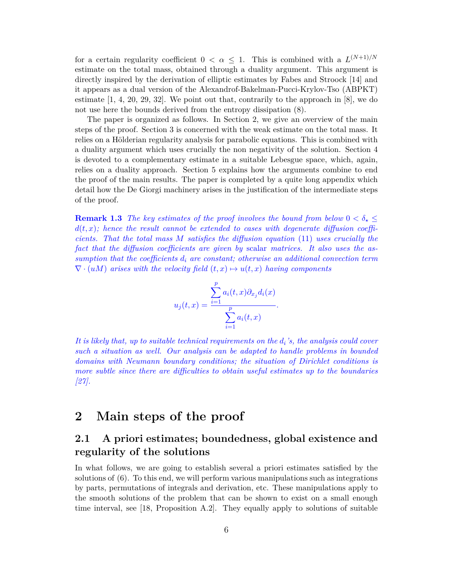for a certain regularity coefficient  $0 < \alpha \leq 1$ . This is combined with a  $L^{(N+1)/N}$ estimate on the total mass, obtained through a duality argument. This argument is directly inspired by the derivation of elliptic estimates by Fabes and Stroock [14] and it appears as a dual version of the Alexandrof-Bakelman-Pucci-Krylov-Tso (ABPKT) estimate  $[1, 4, 20, 29, 32]$ . We point out that, contrarily to the approach in  $[8]$ , we do not use here the bounds derived from the entropy dissipation (8).

The paper is organized as follows. In Section 2, we give an overview of the main steps of the proof. Section 3 is concerned with the weak estimate on the total mass. It relies on a Hölderian regularity analysis for parabolic equations. This is combined with a duality argument which uses crucially the non negativity of the solution. Section 4 is devoted to a complementary estimate in a suitable Lebesgue space, which, again, relies on a duality approach. Section 5 explains how the arguments combine to end the proof of the main results. The paper is completed by a quite long appendix which detail how the De Giorgi machinery arises in the justification of the intermediate steps of the proof.

**Remark 1.3** *The key estimates of the proof involves the bound from below*  $0 < \delta_{\star}$  $d(t, x)$ ; hence the result cannot be extended to cases with degenerate diffusion coeffi*cients. That the total mass M satisfies the diffusion equation* (11) *uses crucially the fact that the diffusion coefficients are given by* scalar *matrices. It also uses the assumption that the coefficients d<sup>i</sup> are constant; otherwise an additional convection term*  $\nabla \cdot (uM)$  *arises with the velocity field*  $(t, x) \mapsto u(t, x)$  *having components* 

$$
u_j(t,x) = \frac{\sum_{i=1}^p a_i(t,x) \partial_{x_j} d_i(x)}{\sum_{i=1}^p a_i(t,x)}.
$$

*It is likely that, up to suitable technical requirements on the*  $d_i$ 's, the analysis could cover *such a situation as well. Our analysis can be adapted to handle problems in bounded domains with Neumann boundary conditions; the situation of Dirichlet conditions is more subtle since there are difficulties to obtain useful estimates up to the boundaries [27].*

#### **2 Main steps of the proof**

#### **2.1 A priori estimates; boundedness, global existence and regularity of the solutions**

In what follows, we are going to establish several a priori estimates satisfied by the solutions of (6). To this end, we will perform various manipulations such as integrations by parts, permutations of integrals and derivation, etc. These manipulations apply to the smooth solutions of the problem that can be shown to exist on a small enough time interval, see [18, Proposition A.2]. They equally apply to solutions of suitable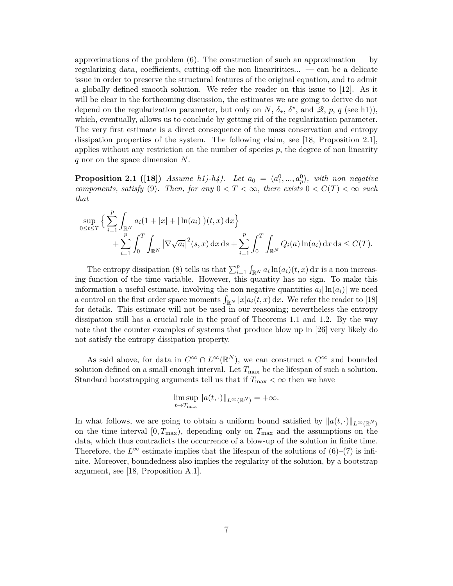approximations of the problem  $(6)$ . The construction of such an approximation — by regularizing data, coefficients, cutting-off the non linearirities... — can be a delicate issue in order to preserve the structural features of the original equation, and to admit a globally defined smooth solution. We refer the reader on this issue to [12]. As it will be clear in the forthcoming discussion, the estimates we are going to derive do not depend on the regularization parameter, but only on *N*,  $\delta_{\star}$ ,  $\delta^{\star}$ , and  $\mathscr{Q}, p, q$  (see h1)), which, eventually, allows us to conclude by getting rid of the regularization parameter. The very first estimate is a direct consequence of the mass conservation and entropy dissipation properties of the system. The following claim, see [18, Proposition 2.1], applies without any restriction on the number of species *p*, the degree of non linearity *q* nor on the space dimension *N*.

**Proposition 2.1** ([18]) *Assume h1*)-*h4*). Let  $a_0 = (a_1^0, ..., a_p^0)$ , with non negative *components, satisfy* (9). Then, for any  $0 < T < \infty$ , there exists  $0 < C(T) < \infty$  such *that*

$$
\sup_{0 \le t \le T} \left\{ \sum_{i=1}^p \int_{\mathbb{R}^N} a_i (1+|x|+|\ln(a_i)|)(t,x) \, dx \right\} + \sum_{i=1}^p \int_0^T \int_{\mathbb{R}^N} |\nabla \sqrt{a_i}|^2(s,x) \, dx \, ds + \sum_{i=1}^p \int_0^T \int_{\mathbb{R}^N} Q_i(a) \ln(a_i) \, dx \, ds \le C(T).
$$

The entropy dissipation (8) tells us that  $\sum_{i=1}^{p} \int_{\mathbb{R}^N} a_i \ln(a_i)(t, x) dx$  is a non increasing function of the time variable. However, this quantity has no sign. To make this information a useful estimate, involving the non negative quantities  $a_i |\ln(a_i)|$  we need a control on the first order space moments  $\int_{\mathbb{R}^N} |x| a_i(t, x) dx$ . We refer the reader to [18] for details. This estimate will not be used in our reasoning; nevertheless the entropy dissipation still has a crucial role in the proof of Theorems 1.1 and 1.2. By the way note that the counter examples of systems that produce blow up in [26] very likely do not satisfy the entropy dissipation property.

As said above, for data in  $C^{\infty} \cap L^{\infty}(\mathbb{R}^{N})$ , we can construct a  $C^{\infty}$  and bounded solution defined on a small enough interval. Let  $T_{\text{max}}$  be the lifespan of such a solution. Standard bootstrapping arguments tell us that if  $T_{\text{max}} < \infty$  then we have

$$
\limsup_{t\to T_{\max}} \|a(t,\cdot)\|_{L^{\infty}(\mathbb{R}^N)} = +\infty.
$$

In what follows, we are going to obtain a uniform bound satisfied by  $||a(t, \cdot)||_{L^{\infty}(\mathbb{R}^N)}$ on the time interval [0*, T*max), depending only on *T*max and the assumptions on the data, which thus contradicts the occurrence of a blow-up of the solution in finite time. Therefore, the  $L^{\infty}$  estimate implies that the lifespan of the solutions of  $(6)-(7)$  is infinite. Moreover, boundedness also implies the regularity of the solution, by a bootstrap argument, see [18, Proposition A.1].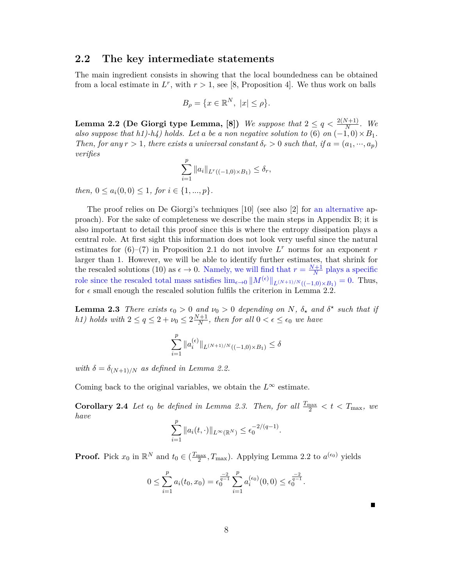#### **2.2 The key intermediate statements**

The main ingredient consists in showing that the local boundedness can be obtained from a local estimate in  $L^r$ , with  $r > 1$ , see [8, Proposition 4]. We thus work on balls

$$
B_{\rho} = \{ x \in \mathbb{R}^N, \ |x| \le \rho \}.
$$

**Lemma 2.2 (De Giorgi type Lemma, [8])** *We suppose that*  $2 \leq q < \frac{2(N+1)}{N}$ *. We also suppose that h1)-h4) holds. Let a be a non negative solution to* (6) *on*  $(-1,0) \times B_1$ *. Then, for any*  $r > 1$ *, there exists a universal constant*  $\delta_r > 0$  *such that, if*  $a = (a_1, \dots, a_p)$ *verifies p*

$$
\sum_{i=1}^P \|a_i\|_{L^r((-1,0)\times B_1)} \le \delta_r,
$$

*then,*  $0 \leq a_i(0,0) \leq 1$ *, for*  $i \in \{1, ..., p\}$ *.* 

The proof relies on De Giorgi's techniques [10] (see also [2] for an alternative approach). For the sake of completeness we describe the main steps in Appendix B; it is also important to detail this proof since this is where the entropy dissipation plays a central role. At first sight this information does not look very useful since the natural estimates for  $(6)$ – $(7)$  in Proposition 2.1 do not involve  $L^r$  norms for an exponent  $r$ larger than 1. However, we will be able to identify further estimates, that shrink for the rescaled solutions (10) as  $\epsilon \to 0$ . Namely, we will find that  $r = \frac{N+1}{N}$  $\frac{N+1}{N}$  plays a specific role since the rescaled total mass satisfies  $\lim_{\epsilon \to 0} ||M^{(\epsilon)}||_{L^{(N+1)/N}((-1,0)\times B_1)} = 0$ . Thus, for  $\epsilon$  small enough the rescaled solution fulfils the criterion in Lemma 2.2.

**Lemma 2.3** *There exists*  $\epsilon_0 > 0$  *and*  $\nu_0 > 0$  *depending on N,*  $\delta_{\star}$  *and*  $\delta^{\star}$  *such that if h1) holds* with  $2 \le q \le 2 + \nu_0 \le 2 \frac{N+1}{N}$  $\frac{N+1}{N}$ , then for all  $0 < \epsilon \leq \epsilon_0$  we have

$$
\sum_{i=1}^p \|a_i^{(\epsilon)}\|_{L^{(N+1)/N}((-1,0)\times B_1)} \le \delta
$$

*with*  $\delta = \delta_{(N+1)/N}$  *as defined in Lemma 2.2.* 

Coming back to the original variables, we obtain the  $L^{\infty}$  estimate.

**Corollary 2.4** *Let*  $\epsilon_0$  *be defined in Lemma 2.3. Then, for all*  $\frac{T_{\text{max}}}{2} < t < T_{\text{max}}$ *, we have p*

$$
\sum_{i=1}^p \|a_i(t,\cdot)\|_{L^\infty(\mathbb{R}^N)} \le \epsilon_0^{-2/(q-1)}.
$$

**Proof.** Pick  $x_0$  in  $\mathbb{R}^N$  and  $t_0 \in (\frac{T_{\text{max}}}{2}, T_{\text{max}})$ . Applying Lemma 2.2 to  $a^{(\epsilon_0)}$  yields

$$
0 \leq \sum_{i=1}^p a_i(t_0, x_0) = \epsilon_0^{\frac{-2}{q-1}} \sum_{i=1}^p a_i^{(\epsilon_0)}(0, 0) \leq \epsilon_0^{\frac{-2}{q-1}}.
$$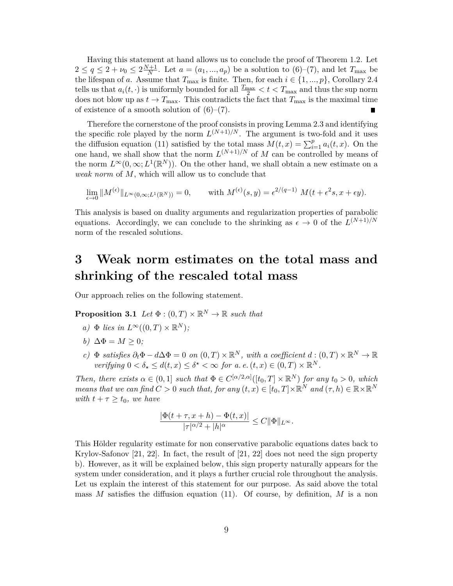Having this statement at hand allows us to conclude the proof of Theorem 1.2. Let  $2 \le q \le 2 + \nu_0 \le 2\frac{N+1}{N}$  $\frac{d+1}{N}$ . Let  $a = (a_1, ..., a_p)$  be a solution to  $(6)-(7)$ , and let  $T_{\text{max}}$  be the lifespan of *a*. Assume that  $T_{\text{max}}$  is finite. Then, for each  $i \in \{1, ..., p\}$ , Corollary 2.4 tells us that  $a_i(t, \cdot)$  is uniformly bounded for all  $\frac{T_{\text{max}}}{2} < t < T_{\text{max}}$  and thus the sup norm does not blow up as  $t \to T_{\text{max}}$ . This contradicts the fact that  $T_{\text{max}}$  is the maximal time of existence of a smooth solution of  $(6)-(7)$ . П

Therefore the cornerstone of the proof consists in proving Lemma 2.3 and identifying the specific role played by the norm  $L^{(N+1)/N}$ . The argument is two-fold and it uses the diffusion equation (11) satisfied by the total mass  $\overline{M}(t,x) = \sum_{i=1}^{p} a_i(t,x)$ . On the one hand, we shall show that the norm  $L^{(N+1)/N}$  of M can be controlled by means of the norm  $L^{\infty}(0,\infty; L^{1}(\mathbb{R}^{N}))$ . On the other hand, we shall obtain a new estimate on a *weak norm* of *M*, which will allow us to conclude that

$$
\lim_{\epsilon \to 0} \|M^{(\epsilon)}\|_{L^{\infty}(0,\infty;L^{1}(\mathbb{R}^{N}))} = 0, \quad \text{with } M^{(\epsilon)}(s,y) = \epsilon^{2/(q-1)} M(t+\epsilon^{2}s,x+\epsilon y).
$$

This analysis is based on duality arguments and regularization properties of parabolic equations. Accordingly, we can conclude to the shrinking as  $\epsilon \to 0$  of the  $L^{(N+1)/N}$ norm of the rescaled solutions.

### **3 Weak norm estimates on the total mass and shrinking of the rescaled total mass**

Our approach relies on the following statement.

**Proposition 3.1** *Let*  $\Phi : (0,T) \times \mathbb{R}^N \to \mathbb{R}$  *such that* 

- $a) \Phi$  *lies in*  $L^{\infty}((0,T) \times \mathbb{R}^{N})$ ;
- *b*)  $\Delta \Phi = M > 0$ ;
- $c)$   $\Phi$  *satisfies*  $\partial_t \Phi d\Delta \Phi = 0$  *on*  $(0, T) \times \mathbb{R}^N$ , with a coefficient  $d : (0, T) \times \mathbb{R}^N \to \mathbb{R}$ *verifying*  $0 < \delta_* \leq d(t, x) \leq \delta^* < \infty$  *for a. e.*  $(t, x) \in (0, T) \times \mathbb{R}^N$ .

*Then, there exists*  $\alpha \in (0,1]$  *such that*  $\Phi \in C^{[\alpha/2,\alpha]}([t_0,T] \times \mathbb{R}^N)$  *for any*  $t_0 > 0$ *, which means that we can find*  $C > 0$  *such that, for any*  $(t, x) \in [t_0, T] \times \mathbb{R}^N$  *and*  $(\tau, h) \in \mathbb{R} \times \mathbb{R}^N$ *with*  $t + \tau \geq t_0$ *, we have* 

$$
\frac{|\Phi(t+\tau,x+h)-\Phi(t,x)|}{|\tau|^{\alpha/2}+|h|^\alpha}\leq C\|\Phi\|_{L^\infty}.
$$

This Hölder regularity estimate for non conservative parabolic equations dates back to Krylov-Safonov [21, 22]. In fact, the result of [21, 22] does not need the sign property b). However, as it will be explained below, this sign property naturally appears for the system under consideration, and it plays a further crucial role throughout the analysis. Let us explain the interest of this statement for our purpose. As said above the total mass *M* satisfies the diffusion equation (11). Of course, by definition, *M* is a non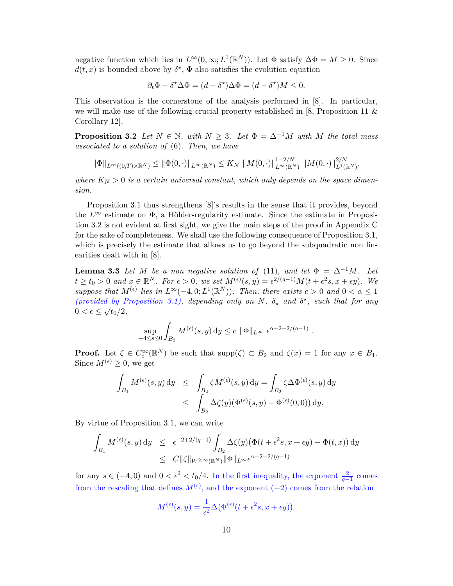negative function which lies in  $L^{\infty}(0,\infty; L^{1}(\mathbb{R}^{N}))$ . Let  $\Phi$  satisfy  $\Delta \Phi = M \geq 0$ . Since  $d(t, x)$  is bounded above by  $\delta^*$ ,  $\Phi$  also satisfies the evolution equation

$$
\partial_t \Phi - \delta^* \Delta \Phi = (d - \delta^*) \Delta \Phi = (d - \delta^*) M \le 0.
$$

This observation is the cornerstone of the analysis performed in [8]. In particular, we will make use of the following crucial property established in [8, Proposition 11 & Corollary 12].

**Proposition 3.2** *Let*  $N \in \mathbb{N}$ *, with*  $N \geq 3$ *. Let*  $\Phi = \Delta^{-1}M$  *with*  $M$  *the total mass associated to a solution of* (6)*. Then, we have*

$$
\|\Phi\|_{L^{\infty}((0,T)\times\mathbb{R}^N)} \leq \|\Phi(0,\cdot)\|_{L^{\infty}(\mathbb{R}^N)} \leq K_N \|\mathcal{M}(0,\cdot)\|_{L^{\infty}(\mathbb{R}^N)}^{1-2/N} \|\mathcal{M}(0,\cdot)\|_{L^1(\mathbb{R}^N)}^{2/N},
$$

where  $K_N > 0$  is a certain universal constant, which only depends on the space dimen*sion.*

Proposition 3.1 thus strengthens [8]'s results in the sense that it provides, beyond the  $L^{\infty}$  estimate on  $\Phi$ , a Hölder-regularity estimate. Since the estimate in Proposition 3.2 is not evident at first sight, we give the main steps of the proof in Appendix C for the sake of completeness. We shall use the following consequence of Proposition 3.1, which is precisely the estimate that allows us to go beyond the subquadratic non linearities dealt with in [8].

**Lemma 3.3** *Let M be a non negative solution of* (11)*, and let*  $\Phi = \Delta^{-1}M$ *. Let*  $t \ge t_0 > 0$  and  $x \in \mathbb{R}^N$ . For  $\epsilon > 0$ , we set  $M^{(\epsilon)}(s, y) = \epsilon^{2/(q-1)}M(t + \epsilon^2 s, x + \epsilon y)$ . We *suppose that*  $M^{(\epsilon)}$  lies in  $L^{\infty}(-4, 0; L^{1}(\mathbb{R}^{N}))$ *. Then, there exists*  $c > 0$  and  $0 < \alpha \leq 1$ (*provided by Proposition 3.1), depending only on*  $N$ ,  $\delta_{\star}$  and  $\delta^{\star}$ , such that for any  $0 < \epsilon \leq \sqrt{t_0}/2,$ 

$$
\sup_{-4 \le s \le 0} \int_{B_2} M^{(\epsilon)}(s, y) dy \le c \|\Phi\|_{L^\infty} \epsilon^{\alpha - 2 + 2/(q-1)}
$$

*.*

**Proof.** Let  $\zeta \in C_c^{\infty}(\mathbb{R}^N)$  be such that  $\text{supp}(\zeta) \subset B_2$  and  $\zeta(x) = 1$  for any  $x \in B_1$ . Since  $M^{(\epsilon)} > 0$ , we get

$$
\int_{B_1} M^{(\epsilon)}(s, y) dy \le \int_{B_2} \zeta M^{(\epsilon)}(s, y) dy = \int_{B_2} \zeta \Delta \Phi^{(\epsilon)}(s, y) dy
$$
  

$$
\le \int_{B_2} \Delta \zeta(y) (\Phi^{(\epsilon)}(s, y) - \Phi^{(\epsilon)}(0, 0)) dy.
$$

By virtue of Proposition 3.1, we can write

$$
\int_{B_1} M^{(\epsilon)}(s, y) dy \le \epsilon^{-2+2/(q-1)} \int_{B_2} \Delta \zeta(y) (\Phi(t + \epsilon^2 s, x + \epsilon y) - \Phi(t, x)) dy
$$
  

$$
\le C \| \zeta \|_{W^{2,\infty}(\mathbb{R}^N)} \| \Phi \|_{L^{\infty}} \epsilon^{\alpha - 2 + 2/(q-1)}
$$

for any  $s \in (-4,0)$  and  $0 < \epsilon^2 < t_0/4$ . In the first inequality, the exponent  $\frac{2}{q-1}$  comes from the rescaling that defines  $M^{(\epsilon)}$ , and the exponent (−2) comes from the relation

$$
M^{(\epsilon)}(s,y) = \frac{1}{\epsilon^2} \Delta(\Phi^{(\epsilon)}(t + \epsilon^2 s, x + \epsilon y)).
$$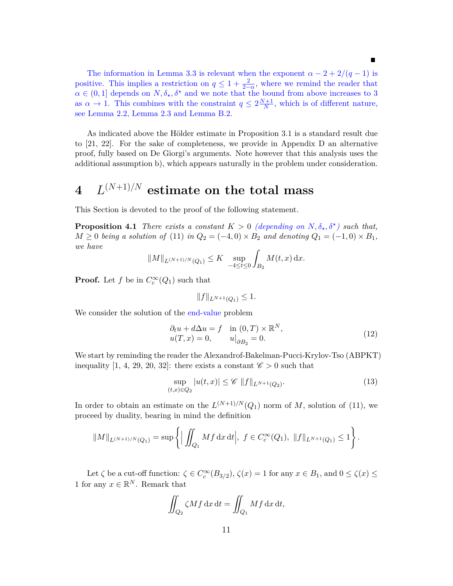The information in Lemma 3.3 is relevant when the exponent  $\alpha - 2 + 2/(q - 1)$  is positive. This implies a restriction on  $q \leq 1 + \frac{2}{2-\alpha}$ , where we remind the reader that  $\alpha \in (0,1]$  depends on  $N, \delta_{\star}, \delta^{\star}$  and we note that the bound from above increases to 3 as  $\alpha \to 1$ . This combines with the constraint  $q \leq 2\frac{N+1}{N}$  $\frac{H}{N}$ , which is of different nature, see Lemma 2.2, Lemma 2.3 and Lemma B.2.

As indicated above the Hölder estimate in Proposition 3.1 is a standard result due to [21, 22]. For the sake of completeness, we provide in Appendix D an alternative proof, fully based on De Giorgi's arguments. Note however that this analysis uses the additional assumption b), which appears naturally in the problem under consideration.

## $4$   $L^{(N+1)/N}$  estimate on the total mass

This Section is devoted to the proof of the following statement.

**Proposition 4.1** *There exists a constant*  $K > 0$  *(depending on*  $N, \delta_{\star}, \delta^{\star}$ *) such that,*  $M \geq 0$  *being a solution of* (11) *in*  $Q_2 = (-4,0) \times B_2$  *and denoting*  $Q_1 = (-1,0) \times B_1$ , *we have*

$$
||M||_{L^{(N+1)/N}(Q_1)} \leq K \sup_{-4 \leq t \leq 0} \int_{B_2} M(t, x) \, dx.
$$

**Proof.** Let *f* be in  $C_c^{\infty}(Q_1)$  such that

$$
||f||_{L^{N+1}(Q_1)} \leq 1.
$$

We consider the solution of the end-value problem

$$
\begin{aligned}\n\partial_t u + d\Delta u &= f \quad \text{in } (0, T) \times \mathbb{R}^N, \\
u(T, x) &= 0, \qquad u\big|_{\partial B_2} = 0.\n\end{aligned} \tag{12}
$$

We start by reminding the reader the Alexandrof-Bakelman-Pucci-Krylov-Tso (ABPKT) inequality [1, 4, 29, 20, 32]: there exists a constant  $\mathscr{C} > 0$  such that

$$
\sup_{(t,x)\in Q_2} |u(t,x)| \le \mathscr{C} \|f\|_{L^{N+1}(Q_2)}.
$$
\n(13)

In order to obtain an estimate on the  $L^{(N+1)/N}(Q_1)$  norm of M, solution of (11), we proceed by duality, bearing in mind the definition

$$
||M||_{L^{(N+1)/N}(Q_1)} = \sup \left\{ \Big| \iint_{Q_1} Mf \,dx \,dt \Big|, \ f \in C_c^{\infty}(Q_1), \ ||f||_{L^{N+1}(Q_1)} \le 1 \right\}.
$$

Let  $\zeta$  be a cut-off function:  $\zeta \in C_c^{\infty}(B_{3/2}), \zeta(x) = 1$  for any  $x \in B_1$ , and  $0 \le \zeta(x) \le$ 1 for any  $x \in \mathbb{R}^N$ . Remark that

$$
\iint_{Q_2} \zeta M f \, \mathrm{d}x \, \mathrm{d}t = \iint_{Q_1} M f \, \mathrm{d}x \, \mathrm{d}t,
$$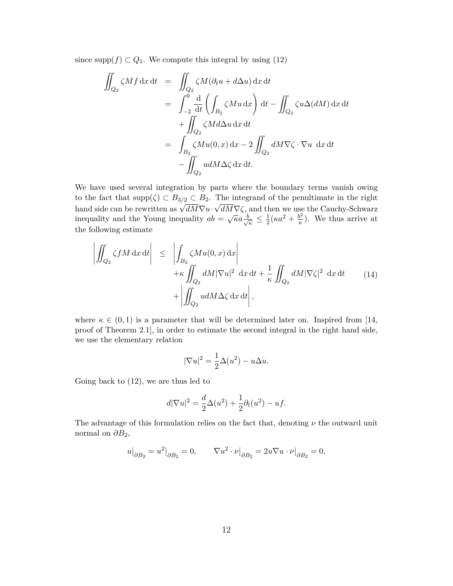since  $\text{supp}(f) \subset Q_1$ . We compute this integral by using (12)

$$
\iint_{Q_2} \zeta M f \, dx \, dt = \iint_{Q_2} \zeta M (\partial_t u + d\Delta u) \, dx \, dt
$$
\n
$$
= \int_{-2}^0 \frac{d}{dt} \left( \int_{B_2} \zeta M u \, dx \right) dt - \iint_{Q_2} \zeta u \Delta (dM) \, dx \, dt
$$
\n
$$
+ \iint_{Q_2} \zeta M d\Delta u \, dx \, dt
$$
\n
$$
= \int_{B_2} \zeta M u(0, x) \, dx - 2 \iint_{Q_2} dM \nabla \zeta \cdot \nabla u \, dx \, dt
$$
\n
$$
- \iint_{Q_2} u dM \Delta \zeta \, dx \, dt.
$$

We have used several integration by parts where the boundary terms vanish owing to the fact that  $\text{supp}(\zeta) \subset B_{3/2} \subset B_2$ . The integrand of the penultimate in the right  $\omega$  and side can be rewritten as  $\sqrt{dM}\nabla u \cdot \sqrt{dM}\nabla \zeta$ , and then we use the Cauchy-Schwarz inequality and the Young inequality  $ab = \sqrt{\kappa}a \frac{b}{\lambda}$  $\frac{1}{\kappa} \leq \frac{1}{2}$  $\frac{1}{2}(\kappa a^2 + \frac{b^2}{\kappa})$  $(\frac{b^2}{\kappa})$ . We thus arrive at the following estimate

$$
\left| \iint_{Q_2} \zeta f M \, dx \, dt \right| \leq \left| \int_{B_2} \zeta M u(0, x) \, dx \right| + \kappa \iint_{Q_2} dM |\nabla u|^2 \, dx \, dt + \frac{1}{\kappa} \iint_{Q_2} dM |\nabla \zeta|^2 \, dx \, dt \qquad (14)
$$

$$
+ \left| \iint_{Q_2} u dM \Delta \zeta \, dx \, dt \right|,
$$

where  $\kappa \in (0,1)$  is a parameter that will be determined later on. Inspired from [14, proof of Theorem 2.1], in order to estimate the second integral in the right hand side, we use the elementary relation

$$
|\nabla u|^2 = \frac{1}{2}\Delta(u^2) - u\Delta u.
$$

Going back to (12), we are thus led to

$$
d|\nabla u|^2 = \frac{d}{2}\Delta(u^2) + \frac{1}{2}\partial_t(u^2) - uf.
$$

The advantage of this formulation relies on the fact that, denoting *ν* the outward unit normal on  $\partial B_2$ ,

$$
u\big|_{\partial B_2}=u^2\big|_{\partial B_2}=0,\qquad \nabla u^2\cdot\nu\big|_{\partial B_2}=2u\nabla u\cdot\nu\big|_{\partial B_2}=0,
$$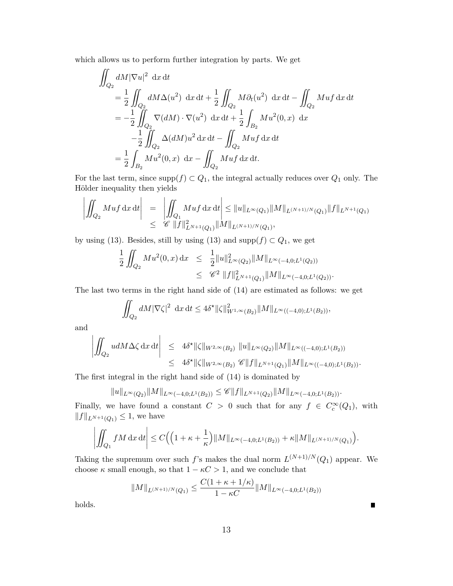which allows us to perform further integration by parts. We get

$$
\iint_{Q_2} dM |\nabla u|^2 dx dt
$$
\n
$$
= \frac{1}{2} \iint_{Q_2} dM \Delta (u^2) dx dt + \frac{1}{2} \iint_{Q_2} M \partial_t (u^2) dx dt - \iint_{Q_2} M u f dx dt
$$
\n
$$
= -\frac{1}{2} \iint_{Q_2} \nabla (dM) \cdot \nabla (u^2) dx dt + \frac{1}{2} \int_{B_2} M u^2 (0, x) dx
$$
\n
$$
- \frac{1}{2} \iint_{Q_2} \Delta (dM) u^2 dx dt - \iint_{Q_2} M u f dx dt
$$
\n
$$
= \frac{1}{2} \int_{B_2} M u^2 (0, x) dx - \iint_{Q_2} M u f dx dt.
$$

For the last term, since  $\text{supp}(f) \subset Q_1$ , the integral actually reduces over  $Q_1$  only. The Hölder inequality then yields

$$
\left| \iint_{Q_2} Mu f \, dx \, dt \right| = \left| \iint_{Q_1} Mu f \, dx \, dt \right| \leq \|u\|_{L^{\infty}(Q_1)} \|M\|_{L^{(N+1)/N}(Q_1)} \|f\|_{L^{N+1}(Q_1)}
$$
  

$$
\leq \mathscr{C} \|f\|_{L^{N+1}(Q_1)}^2 \|M\|_{L^{(N+1)/N}(Q_1)},
$$

by using (13). Besides, still by using (13) and supp $(f) \subset Q_1$ , we get

$$
\frac{1}{2} \iint_{Q_2} Mu^2(0, x) dx \leq \frac{1}{2} ||u||_{L^{\infty}(Q_2)}^2 ||M||_{L^{\infty}(-4, 0; L^1(Q_2))} \leq \mathscr{C}^2 ||f||_{L^{N+1}(Q_1)}^2 ||M||_{L^{\infty}(-4, 0; L^1(Q_2))}.
$$

The last two terms in the right hand side of (14) are estimated as follows: we get

$$
\iint_{Q_2} dM |\nabla \zeta|^2 dx dt \le 4\delta^* \|\zeta\|_{W^{1,\infty}(B_2)}^2 \|M\|_{L^\infty((-4,0);L^1(B_2))},
$$

and

 $\ddot{\phantom{0}}$ 

$$
\left| \iint_{Q_2} u dM \Delta \zeta \, dx \, dt \right| \leq 4 \delta^{\star} \|\zeta\|_{W^{2,\infty}(B_2)} \|u\|_{L^{\infty}(Q_2)} \|M\|_{L^{\infty}((-4,0);L^1(B_2))}
$$
  

$$
\leq 4 \delta^{\star} \|\zeta\|_{W^{2,\infty}(B_2)} \mathscr{C} \|f\|_{L^{N+1}(Q_1)} \|M\|_{L^{\infty}((-4,0);L^1(B_2))}.
$$

The first integral in the right hand side of (14) is dominated by

$$
||u||_{L^{\infty}(Q_2)}||M||_{L^{\infty}(-4,0;L^1(B_2))} \leq \mathscr{C}||f||_{L^{N+1}(Q_2)}||M||_{L^{\infty}(-4,0;L^1(B_2))}.
$$

Finally, we have found a constant  $C > 0$  such that for any  $f \in C_c^{\infty}(Q_1)$ , with  $||f||_{L^{N+1}(Q_1)} \leq 1$ , we have

$$
\left| \iint_{Q_1} f M \, dx \, dt \right| \le C \Big( \Big( 1 + \kappa + \frac{1}{\kappa} \Big) \| M \|_{L^{\infty}(-4,0;L^1(B_2))} + \kappa \| M \|_{L^{(N+1)/N}(Q_1)} \Big)
$$

*.*

П

Taking the supremum over such *f*'s makes the dual norm  $L^{(N+1)/N}(Q_1)$  appear. We choose  $\kappa$  small enough, so that  $1 - \kappa C > 1$ , and we conclude that

$$
||M||_{L^{(N+1)/N}(Q_1)} \leq \frac{C(1+\kappa+1/\kappa)}{1-\kappa C} ||M||_{L^{\infty}(-4,0;L^1(B_2))}
$$

holds.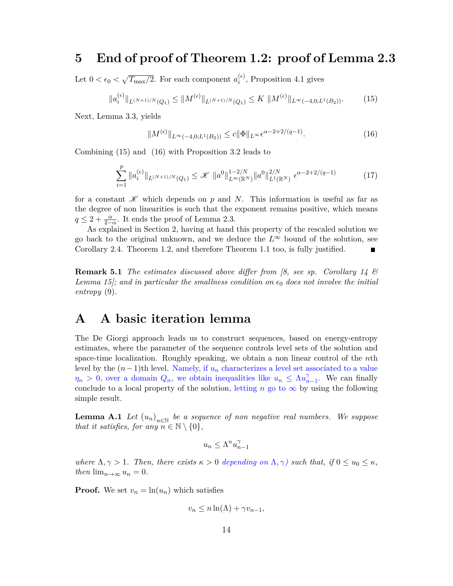#### **5 End of proof of Theorem 1.2: proof of Lemma 2.3**

Let  $0 < \epsilon_0 < \sqrt{T_{\text{max}}/2}$ . For each component  $a_i^{(\epsilon)}$  $i^{(e)}$ , Proposition 4.1 gives

$$
\|a_i^{(\epsilon)}\|_{L^{(N+1)/N}(Q_1)} \le \|M^{(\epsilon)}\|_{L^{(N+1)/N}(Q_1)} \le K \, \|M^{(\epsilon)}\|_{L^{\infty}(-4,0;L^1(B_2))}.\tag{15}
$$

Next, Lemma 3.3, yields

$$
||M^{(\epsilon)}||_{L^{\infty}(-4,0;L^{1}(B_2))} \leq c||\Phi||_{L^{\infty}} \epsilon^{\alpha-2+2/(q-1)}.
$$
\n(16)

Combining (15) and (16) with Proposition 3.2 leads to

$$
\sum_{i=1}^{p} \|a_i^{(\epsilon)}\|_{L^{(N+1)/N}(Q_1)} \le \mathcal{K} \|a^0\|_{L^{\infty}(\mathbb{R}^N)}^{1-2/N} \|a^0\|_{L^1(\mathbb{R}^N)}^{2/N} \epsilon^{\alpha - 2 + 2/(q-1)}
$$
(17)

for a constant  $\mathscr K$  which depends on *p* and *N*. This information is useful as far as the degree of non linearities is such that the exponent remains positive, which means  $q \leq 2 + \frac{\alpha}{2-\alpha}$ . It ends the proof of Lemma 2.3.

As explained in Section 2, having at hand this property of the rescaled solution we go back to the original unknown, and we deduce the  $L^{\infty}$  bound of the solution, see Corollary 2.4. Theorem 1.2, and therefore Theorem 1.1 too, is fully justified.  $\blacksquare$ 

**Remark 5.1** *The estimates discussed above differ from [8, see sp. Corollary 14 & Lemma 15]; and in particular the smallness condition on*  $\epsilon_0$  does not involve the initial *entropy* (9)*.*

#### **A A basic iteration lemma**

The De Giorgi approach leads us to construct sequences, based on energy-entropy estimates, where the parameter of the sequence controls level sets of the solution and space-time localization. Roughly speaking, we obtain a non linear control of the *n*th level by the  $(n-1)$ th level. Namely, if  $u_n$  characterizes a level set associated to a value  $\eta_n > 0$ , over a domain  $Q_n$ , we obtain inequalities like  $u_n \leq \Lambda u_n^{\gamma}$  $\int_{n-1}^{\gamma}$ . We can finally conclude to a local property of the solution, letting *n* go to  $\infty$  by using the following simple result.

**Lemma A.1** *Let*  $(u_n)_{n \in \mathbb{N}}$  *be a sequence of non negative real numbers. We suppose that it satisfies, for any*  $n \in \mathbb{N} \setminus \{0\}$ ,

$$
u_n \le \Lambda^n u_{n-1}^\gamma
$$

*where*  $\Lambda, \gamma > 1$ *. Then, there exists*  $\kappa > 0$  *depending on*  $\Lambda, \gamma$ *) such that, if*  $0 \le u_0 \le \kappa$ *, then*  $\lim_{n\to\infty} u_n = 0$ .

**Proof.** We set  $v_n = \ln(u_n)$  which satisfies

 $v_n \leq n \ln(\Lambda) + \gamma v_{n-1}$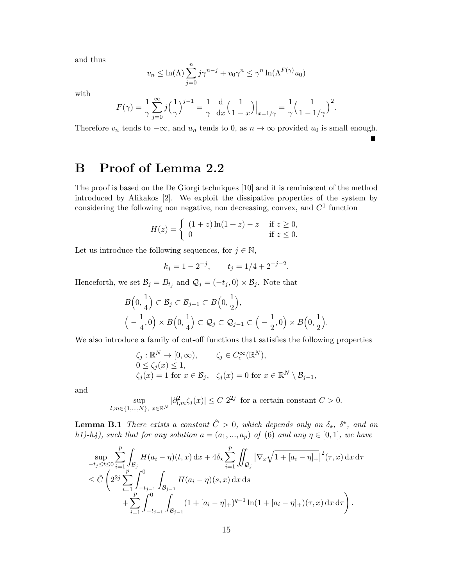and thus

$$
v_n \le \ln(\Lambda) \sum_{j=0}^n j\gamma^{n-j} + v_0 \gamma^n \le \gamma^n \ln(\Lambda^{F(\gamma)} u_0)
$$

with

$$
F(\gamma) = \frac{1}{\gamma} \sum_{j=0}^{\infty} j \left( \frac{1}{\gamma} \right)^{j-1} = \frac{1}{\gamma} \left. \frac{d}{dx} \left( \frac{1}{1-x} \right) \right|_{x=1/\gamma} = \frac{1}{\gamma} \left( \frac{1}{1-1/\gamma} \right)^2.
$$

Therefore  $v_n$  tends to  $-\infty$ , and  $u_n$  tends to 0, as  $n \to \infty$  provided  $u_0$  is small enough.

П

**B Proof of Lemma 2.2**

The proof is based on the De Giorgi techniques [10] and it is reminiscent of the method introduced by Alikakos [2]. We exploit the dissipative properties of the system by considering the following non negative, non decreasing, convex, and *C* 1 function

$$
H(z) = \begin{cases} (1+z)\ln(1+z) - z & \text{if } z \ge 0, \\ 0 & \text{if } z \le 0. \end{cases}
$$

Let us introduce the following sequences, for  $j \in \mathbb{N}$ ,

$$
k_j = 1 - 2^{-j}
$$
,  $t_j = 1/4 + 2^{-j-2}$ .

Henceforth, we set  $\mathcal{B}_j = B_{t_j}$  and  $\mathcal{Q}_j = (-t_j, 0) \times \mathcal{B}_j$ . Note that

$$
B\left(0, \frac{1}{4}\right) \subset \mathcal{B}_j \subset \mathcal{B}_{j-1} \subset B\left(0, \frac{1}{2}\right),
$$
  

$$
\left(-\frac{1}{4}, 0\right) \times B\left(0, \frac{1}{4}\right) \subset \mathcal{Q}_j \subset \mathcal{Q}_{j-1} \subset \left(-\frac{1}{2}, 0\right) \times B\left(0, \frac{1}{2}\right).
$$

We also introduce a family of cut-off functions that satisfies the following properties

$$
\begin{aligned}\n\zeta_j &: \mathbb{R}^N \to [0, \infty), & \zeta_j & \in C_c^\infty(\mathbb{R}^N), \\
0 & \le \zeta_j(x) \le 1, \\
\zeta_j(x) &= 1 \text{ for } x \in \mathcal{B}_j, & \zeta_j(x) &= 0 \text{ for } x \in \mathbb{R}^N \setminus \mathcal{B}_{j-1},\n\end{aligned}
$$

and

$$
\sup_{l,m\in\{1,\ldots,N\},\ x\in\mathbb{R}^N} |\partial_{l,m}^2 \zeta_j(x)| \le C 2^{2j} \text{ for a certain constant } C > 0.
$$

**Lemma B.1** *There exists a constant*  $\hat{C} > 0$ *, which depends only on*  $\delta_{\star}$ *,*  $\delta^{\star}$ *, and on h1)-h4), such that for any solution*  $a = (a_1, ..., a_p)$  *of* (6) *and any*  $\eta \in [0,1]$ *, we have* 

$$
\sup_{-t_j \le t \le 0} \sum_{i=1}^p \int_{B_j} H(a_i - \eta)(t, x) dx + 4\delta_\star \sum_{i=1}^p \iint_{\mathcal{Q}_j} |\nabla_x \sqrt{1 + [a_i - \eta]_+}|^2 (\tau, x) dx d\tau
$$
  
\n
$$
\le \hat{C} \left( 2^{2j} \sum_{i=1}^p \int_{-t_{j-1}}^0 \int_{\mathcal{B}_{j-1}} H(a_i - \eta)(s, x) dx ds + \sum_{i=1}^p \int_{-t_{j-1}}^0 \int_{\mathcal{B}_{j-1}} (1 + [a_i - \eta]_+)^{q-1} \ln(1 + [a_i - \eta]_+)(\tau, x) dx d\tau \right).
$$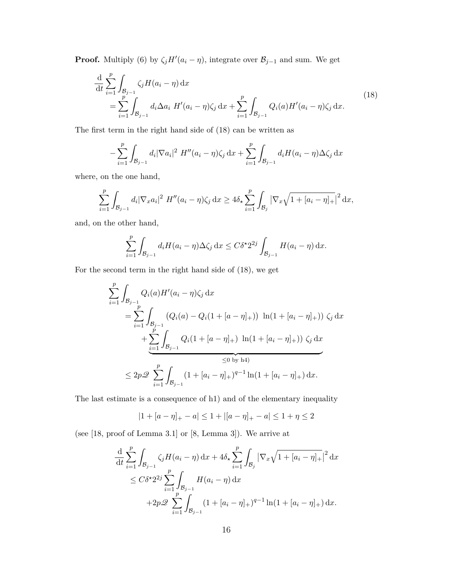**Proof.** Multiply (6) by  $\zeta_j H'(a_i - \eta)$ , integrate over  $\mathcal{B}_{j-1}$  and sum. We get

$$
\frac{\mathrm{d}}{\mathrm{d}t} \sum_{i=1}^{p} \int_{\mathcal{B}_{j-1}} \zeta_j H(a_i - \eta) \, \mathrm{d}x \n= \sum_{i=1}^{p} \int_{\mathcal{B}_{j-1}} d_i \Delta a_i H'(a_i - \eta) \zeta_j \, \mathrm{d}x + \sum_{i=1}^{p} \int_{\mathcal{B}_{j-1}} Q_i(a) H'(a_i - \eta) \zeta_j \, \mathrm{d}x.
$$
\n(18)

The first term in the right hand side of (18) can be written as

$$
-\sum_{i=1}^{p} \int_{\mathcal{B}_{j-1}} d_i |\nabla a_i|^2 H''(a_i - \eta) \zeta_j \, dx + \sum_{i=1}^{p} \int_{\mathcal{B}_{j-1}} d_i H(a_i - \eta) \Delta \zeta_j \, dx
$$

where, on the one hand,

$$
\sum_{i=1}^p \int_{\mathcal{B}_{j-1}} d_i |\nabla_x a_i|^2 \ H''(a_i - \eta) \zeta_j \, dx \ge 4 \delta_\star \sum_{i=1}^p \int_{\mathcal{B}_j} |\nabla_x \sqrt{1 + [a_i - \eta]_+}|^2 \, dx,
$$

and, on the other hand,

$$
\sum_{i=1}^p \int_{\mathcal{B}_{j-1}} d_i H(a_i - \eta) \Delta \zeta_j \, dx \le C \delta^{\star} 2^{2j} \int_{\mathcal{B}_{j-1}} H(a_i - \eta) \, dx.
$$

For the second term in the right hand side of (18), we get

$$
\sum_{i=1}^{p} \int_{\mathcal{B}_{j-1}} Q_i(a) H'(a_i - \eta) \zeta_j \, dx
$$
\n
$$
= \sum_{i=1}^{p} \int_{\mathcal{B}_{j-1}} (Q_i(a) - Q_i(1 + [a - \eta]_+) ) \ln(1 + [a_i - \eta]_+) ) \zeta_j \, dx
$$
\n
$$
+ \sum_{i=1}^{p} \int_{\mathcal{B}_{j-1}} Q_i(1 + [a - \eta]_+) \ln(1 + [a_i - \eta]_+) ) \zeta_j \, dx
$$
\n
$$
\leq 2p \mathcal{Q} \sum_{i=1}^{p} \int_{\mathcal{B}_{j-1}} (1 + [a_i - \eta]_+)^{q-1} \ln(1 + [a_i - \eta]_+) \, dx.
$$

The last estimate is a consequence of h1) and of the elementary inequality

$$
|1 + [a - \eta]_+ - a| \le 1 + |[a - \eta]_+ - a| \le 1 + \eta \le 2
$$

(see [18, proof of Lemma 3.1] or [8, Lemma 3]). We arrive at

$$
\frac{\mathrm{d}}{\mathrm{d}t} \sum_{i=1}^{p} \int_{\mathcal{B}_{j-1}} \zeta_j H(a_i - \eta) \, \mathrm{d}x + 4\delta_\star \sum_{i=1}^{p} \int_{\mathcal{B}_j} |\nabla_x \sqrt{1 + [a_i - \eta]_+}|^2 \, \mathrm{d}x
$$
\n
$$
\leq C\delta^\star 2^{2j} \sum_{i=1}^{p} \int_{\mathcal{B}_{j-1}} H(a_i - \eta) \, \mathrm{d}x
$$
\n
$$
+ 2p \mathcal{Q} \sum_{i=1}^{p} \int_{\mathcal{B}_{j-1}} (1 + [a_i - \eta]_+)^{q-1} \ln(1 + [a_i - \eta]_+) \, \mathrm{d}x.
$$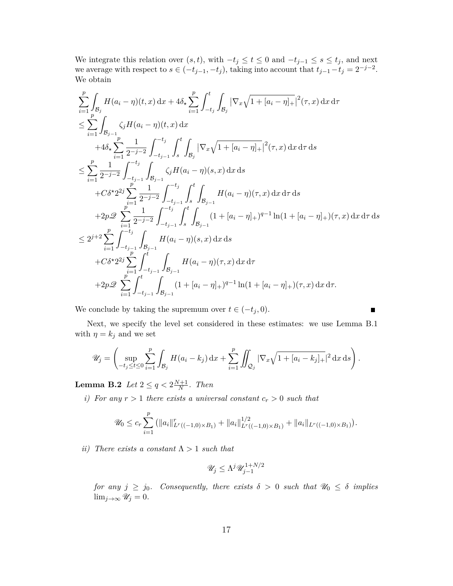We integrate this relation over  $(s, t)$ , with  $-t_j \le t \le 0$  and  $-t_{j-1} \le s \le t_j$ , and next we average with respect to  $s \in (-t_{j-1}, -t_j)$ , taking into account that  $t_{j-1} - t_j = 2^{-j-2}$ . We obtain

$$
\sum_{i=1}^{p} \int_{\mathcal{B}_{j}} H(a_{i} - \eta)(t, x) dx + 4\delta_{\star} \sum_{i=1}^{p} \int_{-t_{j}}^{t} \int_{\mathcal{B}_{j}} |\nabla_{x} \sqrt{1 + [a_{i} - \eta]_{+}}|^{2}(\tau, x) dx d\tau \n\leq \sum_{i=1}^{p} \int_{\mathcal{B}_{j-1}} \zeta_{j} H(a_{i} - \eta)(t, x) dx \n+ 4\delta_{\star} \sum_{i=1}^{p} \frac{1}{2^{-j-2}} \int_{-t_{j-1}}^{-t_{j}} \int_{\mathcal{S}}^{t} \int_{\mathcal{B}_{j}} |\nabla_{x} \sqrt{1 + [a_{i} - \eta]_{+}}|^{2}(\tau, x) dx d\tau ds \n\leq \sum_{i=1}^{p} \frac{1}{2^{-j-2}} \int_{-t_{j-1}}^{-t_{j}} \int_{\mathcal{B}_{j-1}}^{t} \zeta_{j} H(a_{i} - \eta)(s, x) dx ds \n+ C\delta^{\star} 2^{2j} \sum_{i=1}^{p} \frac{1}{2^{-j-2}} \int_{-t_{j-1}}^{-t_{j}} \int_{\mathcal{S}}^{t} \int_{\mathcal{B}_{j-1}} H(a_{i} - \eta)(\tau, x) dx d\tau ds \n+ 2p\mathcal{D} \sum_{i=1}^{p} \frac{1}{2^{-j-2}} \int_{-t_{j-1}}^{-t_{j}} \int_{\mathcal{S}}^{t} \int_{\mathcal{B}_{j-1}} (1 + [a_{i} - \eta]_{+})^{q-1} \ln(1 + [a_{i} - \eta]_{+})(\tau, x) dx d\tau ds \n\leq 2^{j+2} \sum_{i=1}^{p} \int_{-t_{j-1}}^{-t_{j}} \int_{\mathcal{B}_{j-1}} H(a_{i} - \eta)(s, x) dx ds \n+ C\delta^{\star} 2^{2j} \sum_{i=1}^{p} \int_{-t_{j-1}}^{t} \int_{\mathcal{B}_{j-1}} H(a_{i} - \eta)(\tau, x) dx d\tau \n+ 2p\mathcal{D} \sum_{i=1}^{p} \int_{-t_{j-1}}^{t} \int_{\mathcal{B}_{j-
$$

We conclude by taking the supremum over  $t \in (-t_j, 0)$ .

$$
\qquad \qquad \blacksquare
$$

Next, we specify the level set considered in these estimates: we use Lemma B.1 with  $\eta = k_j$  and we set

$$
\mathscr{U}_j = \left( \sup_{-t_j \le t \le 0} \sum_{i=1}^p \int_{\mathcal{B}_j} H(a_i - k_j) \, dx + \sum_{i=1}^p \iint_{\mathcal{Q}_j} |\nabla_x \sqrt{1 + [a_i - k_j]_+}|^2 \, dx \, ds \right).
$$

 $\textbf{Lemma B.2} \ \ Let \ 2 \leq q < 2 \frac{N+1}{N}$  $\frac{n+1}{N}$ *. Then* 

*i)* For any  $r > 1$  there exists a universal constant  $c_r > 0$  such that

$$
\mathscr{U}_0 \leq c_r \sum_{i=1}^p \left( \|a_i\|_{L^r((-1,0)\times B_1)}^r + \|a_i\|_{L^r((-1,0)\times B_1)}^{1/2} + \|a_i\|_{L^r((-1,0)\times B_1)}\right).
$$

*ii*) There exists a constant  $\Lambda > 1$  *such that* 

$$
\mathscr{U}_j \leq \Lambda^j \mathscr{U}_{j-1}^{1+N/2}
$$

*for any*  $j \geq j_0$ *. Consequently, there exists*  $\delta > 0$  *such that*  $\mathcal{U}_0 \leq \delta$  *implies*  $\lim_{j\to\infty} \mathscr{U}_j = 0.$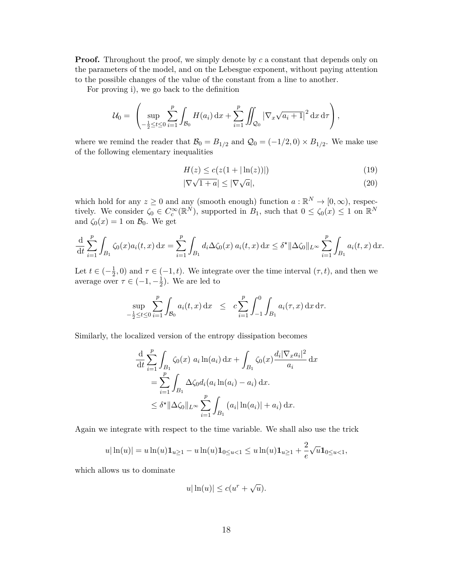**Proof.** Throughout the proof, we simply denote by *c* a constant that depends only on the parameters of the model, and on the Lebesgue exponent, without paying attention to the possible changes of the value of the constant from a line to another.

For proving i), we go back to the definition

$$
\mathcal{U}_0 = \left( \sup_{-\frac{1}{2} \leq t \leq 0} \sum_{i=1}^p \int_{\mathcal{B}_0} H(a_i) \, dx + \sum_{i=1}^p \iint_{\mathcal{Q}_0} |\nabla_x \sqrt{a_i + 1}|^2 \, dx \, d\tau \right),
$$

where we remind the reader that  $\mathcal{B}_0 = B_{1/2}$  and  $\mathcal{Q}_0 = (-1/2, 0) \times B_{1/2}$ . We make use of the following elementary inequalities

$$
H(z) \le c(z(1+|\ln(z))|)
$$
 (19)

$$
|\nabla \sqrt{1+a}| \le |\nabla \sqrt{a}|,\tag{20}
$$

which hold for any  $z \geq 0$  and any (smooth enough) function  $a : \mathbb{R}^N \to [0, \infty)$ , respectively. We consider  $\zeta_0 \in C_c^{\infty}(\mathbb{R}^N)$ , supported in  $B_1$ , such that  $0 \leq \zeta_0(x) \leq 1$  on  $\mathbb{R}^N$ and  $\zeta_0(x) = 1$  on  $\mathcal{B}_0$ . We get

$$
\frac{\mathrm{d}}{\mathrm{d}t} \sum_{i=1}^p \int_{B_1} \zeta_0(x) a_i(t,x) \, \mathrm{d}x = \sum_{i=1}^p \int_{B_1} d_i \Delta \zeta_0(x) \, a_i(t,x) \, \mathrm{d}x \le \delta^* ||\Delta \zeta_0||_{L^\infty} \sum_{i=1}^p \int_{B_1} a_i(t,x) \, \mathrm{d}x.
$$

Let  $t \in (-\frac{1}{2})$  $\frac{1}{2}$ , 0) and  $\tau \in (-1, t)$ . We integrate over the time interval  $(\tau, t)$ , and then we average over  $\tau \in (-1, -\frac{1}{2})$  $(\frac{1}{2})$ . We are led to

$$
\sup_{-\frac{1}{2}\leq t\leq 0}\sum_{i=1}^p\int_{\mathcal{B}_0}a_i(t,x)\,\mathrm{d}x \leq c\sum_{i=1}^p\int_{-1}^0\int_{B_1}a_i(\tau,x)\,\mathrm{d}x\,\mathrm{d}\tau.
$$

Similarly, the localized version of the entropy dissipation becomes

$$
\frac{d}{dt} \sum_{i=1}^{p} \int_{B_1} \zeta_0(x) \ a_i \ln(a_i) \, dx + \int_{B_1} \zeta_0(x) \frac{d_i |\nabla_x a_i|^2}{a_i} \, dx \n= \sum_{i=1}^{p} \int_{B_1} \Delta \zeta_0 d_i (a_i \ln(a_i) - a_i) \, dx. \n\leq \delta^* ||\Delta \zeta_0||_{L^{\infty}} \sum_{i=1}^{p} \int_{B_1} (a_i |\ln(a_i)| + a_i) \, dx.
$$

Again we integrate with respect to the time variable. We shall also use the trick

$$
u|\ln(u)| = u\ln(u)\mathbf{1}_{u\geq 1} - u\ln(u)\mathbf{1}_{0\leq u< 1} \leq u\ln(u)\mathbf{1}_{u\geq 1} + \frac{2}{e}\sqrt{u}\mathbf{1}_{0\leq u< 1},
$$

which allows us to dominate

$$
u|\ln(u)| \le c(u^r + \sqrt{u}).
$$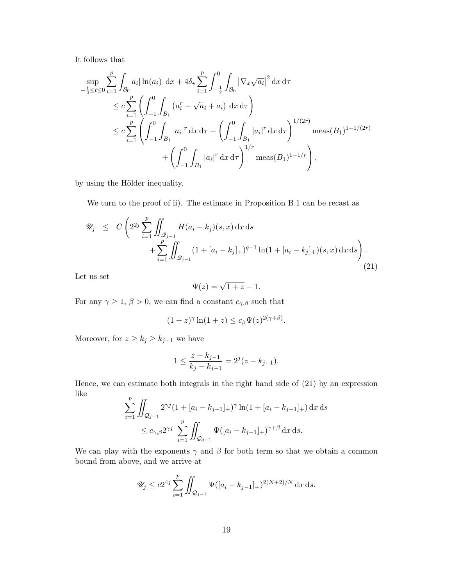It follows that

$$
\sup_{-\frac{1}{2}\leq t\leq 0} \sum_{i=1}^{p} \int_{\mathcal{B}_0} a_i |\ln(a_i)| \, dx + 4\delta_\star \sum_{i=1}^{p} \int_{-\frac{1}{2}}^0 \int_{\mathcal{B}_0} |\nabla_x \sqrt{a_i}|^2 \, dx \, d\tau
$$
\n
$$
\leq c \sum_{i=1}^{p} \left( \int_{-1}^0 \int_{B_1} (a_i^r + \sqrt{a_i} + a_i) \, dx \, d\tau \right)
$$
\n
$$
\leq c \sum_{i=1}^{p} \left( \int_{-1}^0 \int_{B_1} |a_i|^r \, dx \, d\tau + \left( \int_{-1}^0 \int_{B_1} |a_i|^r \, dx \, d\tau \right)^{1/(2r)} \text{meas}(B_1)^{1-1/(2r)}
$$
\n
$$
+ \left( \int_{-1}^0 \int_{B_1} |a_i|^r \, dx \, d\tau \right)^{1/r} \text{meas}(B_1)^{1-1/r} \right),
$$

by using the Hölder inequality.

We turn to the proof of ii). The estimate in Proposition B.1 can be recast as

$$
\mathcal{U}_j \leq C \left( 2^{2j} \sum_{i=1}^p \iint_{\mathcal{Q}_{j-1}} H(a_i - k_j)(s, x) \, dx \, ds + \sum_{i=1}^p \iint_{\mathcal{Q}_{j-1}} (1 + [a_i - k_j]_+)^{q-1} \ln(1 + [a_i - k_j]_+)(s, x) \, dx \, ds \right).
$$
\n(21)

Let us set

$$
\Psi(z) = \sqrt{1+z} - 1.
$$

For any  $\gamma \geq 1$ ,  $\beta > 0$ , we can find a constant  $c_{\gamma,\beta}$  such that

$$
(1+z)^{\gamma} \ln(1+z) \le c_{\beta} \Psi(z)^{2(\gamma+\beta)}.
$$

Moreover, for  $z \geq k_j \geq k_{j-1}$  we have

$$
1 \le \frac{z - k_{j-1}}{k_j - k_{j-1}} = 2^j (z - k_{j-1}).
$$

Hence, we can estimate both integrals in the right hand side of (21) by an expression like *p*

$$
\sum_{i=1}^{\nu} \iint_{\mathcal{Q}_{j-1}} 2^{\gamma j} (1 + [a_i - k_{j-1}]_+)^\gamma \ln(1 + [a_i - k_{j-1}]_+) \,dx \,ds
$$
  

$$
\leq c_{\gamma,\beta} 2^{\gamma j} \sum_{i=1}^{\nu} \iint_{\mathcal{Q}_{j-1}} \Psi([a_i - k_{j-1}]_+)^{\gamma+\beta} \,dx \,ds.
$$

We can play with the exponents  $\gamma$  and  $\beta$  for both term so that we obtain a common bound from above, and we arrive at

$$
\mathscr{U}_j \le c2^{4j} \sum_{i=1}^p \iint_{\mathcal{Q}_{j-1}} \Psi([a_i - k_{j-1}]_+)^{2(N+2)/N} dx ds.
$$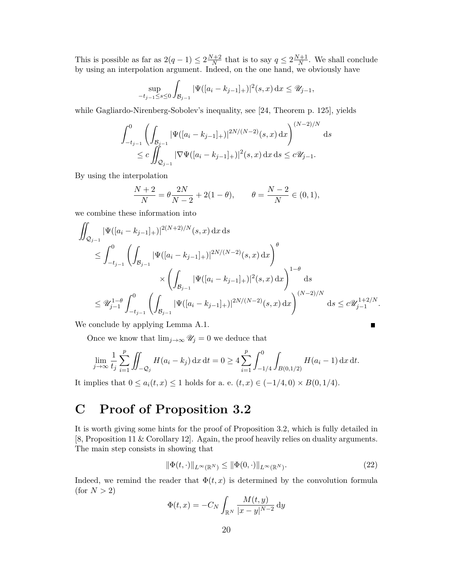This is possible as far as  $2(q-1) \leq 2\frac{N+2}{N}$  $\frac{N+2}{N}$  that is to say  $q \leq 2\frac{N+1}{N}$  $\frac{N+1}{N}$ . We shall conclude by using an interpolation argument. Indeed, on the one hand, we obviously have

$$
\sup_{-t_{j-1}\leq s\leq 0}\int_{\mathcal{B}_{j-1}}|\Psi([a_i-k_{j-1}]_+)|^2(s,x)\,\mathrm{d} x\leq \mathscr{U}_{j-1},
$$

while Gagliardo-Nirenberg-Sobolev's inequality, see [24, Theorem p. 125], yields

$$
\int_{-t_{j-1}}^0 \left( \int_{\mathcal{B}_{j-1}} |\Psi([a_i - k_{j-1}]_+)|^{2N/(N-2)}(s, x) dx \right)^{(N-2)/N} ds
$$
  

$$
\leq c \iint_{\mathcal{Q}_{j-1}} |\nabla \Psi([a_i - k_{j-1}]_+)|^2(s, x) dx ds \leq c \mathcal{U}_{j-1}.
$$

By using the interpolation

$$
\frac{N+2}{N} = \theta \frac{2N}{N-2} + 2(1-\theta), \qquad \theta = \frac{N-2}{N} \in (0,1),
$$

we combine these information into

$$
\iint_{\mathcal{Q}_{j-1}} |\Psi([a_i - k_{j-1}]_+)|^{2(N+2)/N}(s, x) dx ds
$$
\n
$$
\leq \int_{-t_{j-1}}^0 \left( \int_{\mathcal{B}_{j-1}} |\Psi([a_i - k_{j-1}]_+)|^{2N/(N-2)}(s, x) dx \right)^{\theta}
$$
\n
$$
\times \left( \int_{\mathcal{B}_{j-1}} |\Psi([a_i - k_{j-1}]_+)|^2(s, x) dx \right)^{1-\theta} ds
$$
\n
$$
\leq \mathcal{U}_{j-1}^{1-\theta} \int_{-t_{j-1}}^0 \left( \int_{\mathcal{B}_{j-1}} |\Psi([a_i - k_{j-1}]_+)|^{2N/(N-2)}(s, x) dx \right)^{(N-2)/N} ds \leq c \mathcal{U}_{j-1}^{1+2/N}.
$$

We conclude by applying Lemma A.1.

Once we know that  $\lim_{j\to\infty} \mathscr{U}_j = 0$  we deduce that

$$
\lim_{j \to \infty} \frac{1}{t_j} \sum_{i=1}^p \iint_{-\mathcal{Q}_j} H(a_i - k_j) \, \mathrm{d}x \, \mathrm{d}t = 0 \ge 4 \sum_{i=1}^p \int_{-1/4}^0 \int_{B(0, 1/2)} H(a_i - 1) \, \mathrm{d}x \, \mathrm{d}t.
$$

It implies that 0 ≤  $a_i(t, x)$  ≤ 1 holds for a. e.  $(t, x)$  ∈  $(-1/4, 0) \times B(0, 1/4)$ .

## **C Proof of Proposition 3.2**

It is worth giving some hints for the proof of Proposition 3.2, which is fully detailed in [8, Proposition 11 & Corollary 12]. Again, the proof heavily relies on duality arguments. The main step consists in showing that

$$
\|\Phi(t,\cdot)\|_{L^{\infty}(\mathbb{R}^N)} \le \|\Phi(0,\cdot)\|_{L^{\infty}(\mathbb{R}^N)}.
$$
\n(22)

П

Indeed, we remind the reader that  $\Phi(t, x)$  is determined by the convolution formula  $($ for  $N > 2)$ 

$$
\Phi(t,x) = -C_N \int_{\mathbb{R}^N} \frac{M(t,y)}{|x-y|^{N-2}} \, dy
$$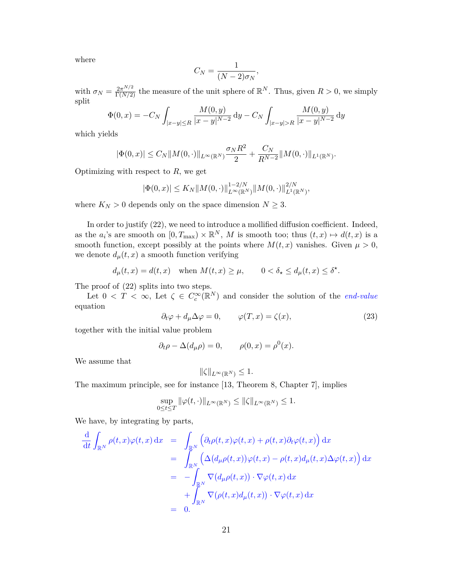where

$$
C_N = \frac{1}{(N-2)\sigma_N},
$$

with  $\sigma_N = \frac{2\pi^{N/2}}{\Gamma(N/2)}$  the measure of the unit sphere of  $\mathbb{R}^N$ . Thus, given  $R > 0$ , we simply split

$$
\Phi(0,x) = -C_N \int_{|x-y| \le R} \frac{M(0,y)}{|x-y|^{N-2}} dy - C_N \int_{|x-y| > R} \frac{M(0,y)}{|x-y|^{N-2}} dy
$$

which yields

$$
|\Phi(0, x)| \leq C_N ||M(0, \cdot)||_{L^{\infty}(\mathbb{R}^N)} \frac{\sigma_N R^2}{2} + \frac{C_N}{R^{N-2}} ||M(0, \cdot)||_{L^1(\mathbb{R}^N)}.
$$

Optimizing with respect to *R*, we get

$$
|\Phi(0,x)| \le K_N ||M(0,\cdot)||_{L^{\infty}(\mathbb{R}^N)}^{1-2/N} ||M(0,\cdot)||_{L^1(\mathbb{R}^N)}^{2/N},
$$

where  $K_N > 0$  depends only on the space dimension  $N \geq 3$ .

In order to justify (22), we need to introduce a mollified diffusion coefficient. Indeed, as the  $a_i$ 's are smooth on  $[0, T_{\text{max}}) \times \mathbb{R}^N$ , M is smooth too; thus  $(t, x) \mapsto d(t, x)$  is a smooth function, except possibly at the points where  $M(t, x)$  vanishes. Given  $\mu > 0$ , we denote  $d_{\mu}(t, x)$  a smooth function verifying

$$
d_{\mu}(t,x) = d(t,x) \quad \text{when } M(t,x) \ge \mu, \qquad 0 < \delta_{\star} \le d_{\mu}(t,x) \le \delta^{\star}.
$$

The proof of (22) splits into two steps.

Let  $0 < T < \infty$ , Let  $\zeta \in C_c^{\infty}(\mathbb{R}^N)$  and consider the solution of the *end-value* equation

$$
\partial_t \varphi + d_\mu \Delta \varphi = 0, \qquad \varphi(T, x) = \zeta(x), \tag{23}
$$

together with the initial value problem

$$
\partial_t \rho - \Delta(d_\mu \rho) = 0, \qquad \rho(0, x) = \rho^0(x).
$$

We assume that

$$
\|\zeta\|_{L^{\infty}(\mathbb{R}^N)} \leq 1.
$$

The maximum principle, see for instance [13, Theorem 8, Chapter 7], implies

$$
\sup_{0\leq t\leq T} \|\varphi(t,\cdot)\|_{L^{\infty}(\mathbb{R}^N)} \leq \|\zeta\|_{L^{\infty}(\mathbb{R}^N)} \leq 1.
$$

We have, by integrating by parts,

$$
\frac{\mathrm{d}}{\mathrm{d}t} \int_{\mathbb{R}^N} \rho(t,x) \varphi(t,x) \, \mathrm{d}x = \int_{\mathbb{R}^N} \left( \partial_t \rho(t,x) \varphi(t,x) + \rho(t,x) \partial_t \varphi(t,x) \right) \mathrm{d}x \n= \int_{\mathbb{R}^N} \left( \Delta \big( d_\mu \rho(t,x) \big) \varphi(t,x) - \rho(t,x) d_\mu(t,x) \Delta \varphi(t,x) \right) \mathrm{d}x \n= - \int_{\mathbb{R}^N} \nabla \big( d_\mu \rho(t,x) \big) \cdot \nabla \varphi(t,x) \, \mathrm{d}x \n+ \int_{\mathbb{R}^N} \nabla \big( \rho(t,x) d_\mu(t,x) \big) \cdot \nabla \varphi(t,x) \, \mathrm{d}x \n= 0.
$$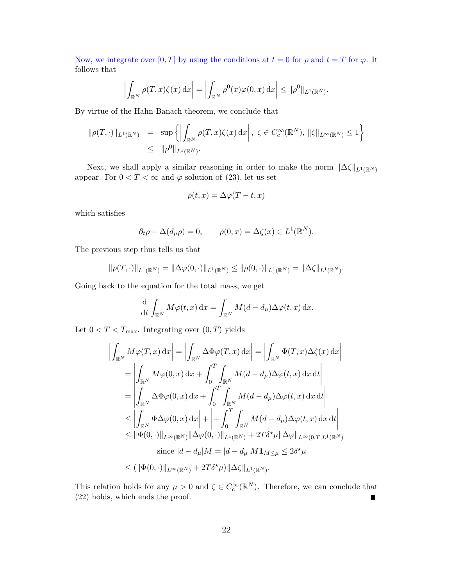Now, we integrate over  $[0, T]$  by using the conditions at  $t = 0$  for  $\rho$  and  $t = T$  for  $\varphi$ . It follows that

$$
\left| \int_{\mathbb{R}^N} \rho(T, x) \zeta(x) \, dx \right| = \left| \int_{\mathbb{R}^N} \rho^0(x) \varphi(0, x) \, dx \right| \leq \| \rho^0 \|_{L^1(\mathbb{R}^N)}.
$$

By virtue of the Hahn-Banach theorem, we conclude that

$$
\|\rho(T,\cdot)\|_{L^1(\mathbb{R}^N)} = \sup \left\{ \left| \int_{\mathbb{R}^N} \rho(T,x)\zeta(x) dx \right|, \ \zeta \in C_c^{\infty}(\mathbb{R}^N), \|\zeta\|_{L^{\infty}(\mathbb{R}^N)} \le 1 \right\}
$$
  

$$
\leq \|\rho^0\|_{L^1(\mathbb{R}^N)}.
$$

Next, we shall apply a similar reasoning in order to make the norm  $||\Delta\zeta||_{L^1(\mathbb{R}^N)}$ appear. For  $0 < T < \infty$  and  $\varphi$  solution of (23), let us set

$$
\rho(t,x) = \Delta \varphi(T-t,x)
$$

which satisfies

$$
\partial_t \rho - \Delta(d_\mu \rho) = 0, \qquad \rho(0, x) = \Delta \zeta(x) \in L^1(\mathbb{R}^N).
$$

The previous step thus tells us that

$$
\|\rho(T,\cdot)\|_{L^1(\mathbb{R}^N)} = \|\Delta\varphi(0,\cdot)\|_{L^1(\mathbb{R}^N)} \le \|\rho(0,\cdot)\|_{L^1(\mathbb{R}^N)} = \|\Delta\zeta\|_{L^1(\mathbb{R}^N)}.
$$

Going back to the equation for the total mass, we get

$$
\frac{\mathrm{d}}{\mathrm{d}t} \int_{\mathbb{R}^N} M\varphi(t,x) \,\mathrm{d}x = \int_{\mathbb{R}^N} M(d-d_\mu) \Delta \varphi(t,x) \,\mathrm{d}x.
$$

Let  $0 < T < T_{\text{max}}$ . Integrating over  $(0, T)$  yields

$$
\left| \int_{\mathbb{R}^N} M\varphi(T, x) dx \right| = \left| \int_{\mathbb{R}^N} \Delta \Phi \varphi(T, x) dx \right| = \left| \int_{\mathbb{R}^N} \Phi(T, x) \Delta \zeta(x) dx \right|
$$
  
\n
$$
= \left| \int_{\mathbb{R}^N} M\varphi(0, x) dx + \int_0^T \int_{\mathbb{R}^N} M(d - d_\mu) \Delta \varphi(t, x) dx dt \right|
$$
  
\n
$$
= \left| \int_{\mathbb{R}^N} \Delta \Phi \varphi(0, x) dx + \int_0^T \int_{\mathbb{R}^N} M(d - d_\mu) \Delta \varphi(t, x) dx dt \right|
$$
  
\n
$$
\leq \left| \int_{\mathbb{R}^N} \Phi \Delta \varphi(0, x) dx \right| + \left| + \int_0^T \int_{\mathbb{R}^N} M(d - d_\mu) \Delta \varphi(t, x) dx dt \right|
$$
  
\n
$$
\leq \|\Phi(0, \cdot)\|_{L^\infty(\mathbb{R}^N)} \|\Delta \varphi(0, \cdot)\|_{L^1(\mathbb{R}^N)} + 2T\delta^{\star} \mu \|\Delta \varphi\|_{L^\infty(0, T; L^1(\mathbb{R}^N)}
$$
  
\nsince  $|d - d_\mu| M = |d - d_\mu| M \mathbf{1}_{M \leq \mu} \leq 2\delta^{\star} \mu$   
\n
$$
\leq (\|\Phi(0, \cdot)\|_{L^\infty(\mathbb{R}^N)} + 2T\delta^{\star} \mu) \|\Delta \zeta\|_{L^1(\mathbb{R}^N)}.
$$

This relation holds for any  $\mu > 0$  and  $\zeta \in C_c^{\infty}(\mathbb{R}^N)$ . Therefore, we can conclude that (22) holds, which ends the proof.  $\blacksquare$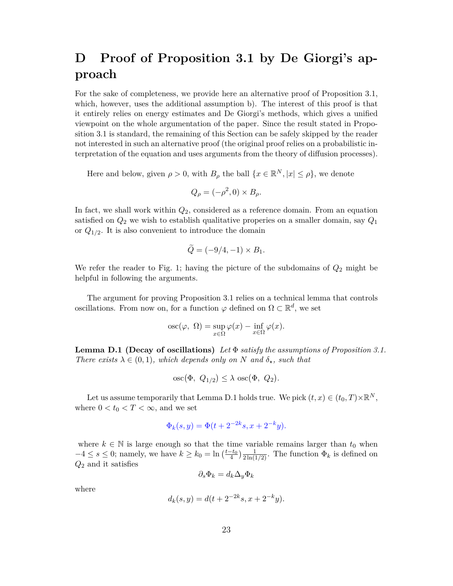## **D Proof of Proposition 3.1 by De Giorgi's approach**

For the sake of completeness, we provide here an alternative proof of Proposition 3.1, which, however, uses the additional assumption b). The interest of this proof is that it entirely relies on energy estimates and De Giorgi's methods, which gives a unified viewpoint on the whole argumentation of the paper. Since the result stated in Proposition 3.1 is standard, the remaining of this Section can be safely skipped by the reader not interested in such an alternative proof (the original proof relies on a probabilistic interpretation of the equation and uses arguments from the theory of diffusion processes).

Here and below, given  $\rho > 0$ , with  $B_\rho$  the ball  $\{x \in \mathbb{R}^N, |x| \leq \rho\}$ , we denote

$$
Q_{\rho} = (-\rho^2, 0) \times B_{\rho}.
$$

In fact, we shall work within *Q*2, considered as a reference domain. From an equation satisfied on  $Q_2$  we wish to establish qualitative properies on a smaller domain, say  $Q_1$ or *Q*1*/*<sup>2</sup> . It is also convenient to introduce the domain

$$
\widetilde{Q} = (-9/4, -1) \times B_1.
$$

We refer the reader to Fig. 1; having the picture of the subdomains of *Q*<sup>2</sup> might be helpful in following the arguments.

The argument for proving Proposition 3.1 relies on a technical lemma that controls oscillations. From now on, for a function  $\varphi$  defined on  $\Omega \subset \mathbb{R}^d$ , we set

osc
$$
(\varphi, \Omega)
$$
 = sup  $\varphi(x)$  - inf  $\varphi(x)$ .

**Lemma D.1 (Decay of oscillations)** *Let* Φ *satisfy the assumptions of Proposition 3.1. There exists*  $\lambda \in (0,1)$ *, which depends only on N and*  $\delta_{\star}$ *, such that* 

$$
\mathrm{osc}(\Phi, Q_{1/2}) \le \lambda \, \mathrm{osc}(\Phi, Q_2).
$$

Let us assume temporarily that Lemma D.1 holds true. We pick  $(t, x) \in (t_0, T) \times \mathbb{R}^N$ , where  $0 < t_0 < T < \infty$ , and we set

$$
\Phi_k(s, y) = \Phi(t + 2^{-2k}s, x + 2^{-k}y).
$$

where  $k \in \mathbb{N}$  is large enough so that the time variable remains larger than  $t_0$  when  $-4 \leq s \leq 0$ ; namely, we have  $k \geq k_0 = \ln\left(\frac{t-t_0}{4}\right) \frac{1}{2\ln(1/2)}$ . The function  $\Phi_k$  is defined on *Q*<sup>2</sup> and it satisfies

$$
\partial_s \Phi_k = d_k \Delta_y \Phi_k
$$

where

$$
d_k(s, y) = d(t + 2^{-2k}s, x + 2^{-k}y).
$$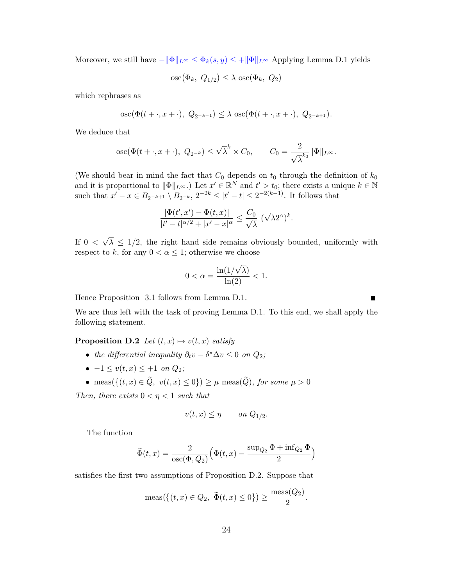Moreover, we still have  $-\|\Phi\|_{L^\infty} \leq \Phi_k(s, y) \leq +\|\Phi\|_{L^\infty}$  Applying Lemma D.1 yields

$$
\operatorname{osc}(\Phi_k, Q_{1/2}) \le \lambda \operatorname{osc}(\Phi_k, Q_2)
$$

which rephrases as

osc(
$$
\Phi(t + \cdot, x + \cdot)
$$
,  $Q_{2^{-k-1}} \le \lambda \csc(\Phi(t + \cdot, x + \cdot), Q_{2^{-k+1}})$ .

We deduce that

osc
$$
(\Phi(t + \cdot, x + \cdot), Q_{2^{-k}}) \le \sqrt{\lambda}^k \times C_0
$$
,  $C_0 = \frac{2}{\sqrt{\lambda}^{k_0}} ||\Phi||_{L^{\infty}}$ .

(We should bear in mind the fact that  $C_0$  depends on  $t_0$  through the definition of  $k_0$ and it is proportional to  $\|\Phi\|_{L^{\infty}}$ .) Let  $x' \in \mathbb{R}^N$  and  $t' > t_0$ ; there exists a unique  $k \in \mathbb{N}$ such that  $x' - x \in B_{2^{-k+1}} \setminus B_{2^{-k}}, 2^{-2k} \leq |t' - t| \leq 2^{-2(k-1)}$ . It follows that

$$
\frac{|\Phi(t',x')-\Phi(t,x)|}{|t'-t|^{\alpha/2}+|x'-x|^\alpha}\leq \frac{C_0}{\sqrt{\lambda}}\,\,(\sqrt{\lambda}2^\alpha)^k.
$$

If 0 *<* √  $\lambda \leq 1/2$ , the right hand side remains obviously bounded, uniformly with respect to *k*, for any  $0 < \alpha \leq 1$ ; otherwise we choose

$$
0 < \alpha = \frac{\ln(1/\sqrt{\lambda})}{\ln(2)} < 1.
$$

Hence Proposition 3.1 follows from Lemma D.1.

We are thus left with the task of proving Lemma D.1. To this end, we shall apply the following statement.

**Proposition D.2** *Let*  $(t, x) \mapsto v(t, x)$  *satisfy* 

- *the differential inequality*  $\partial_t v \delta^* \Delta v \leq 0$  *on*  $Q_2$ ;
- $-1 \le v(t, x) \le +1$  *on*  $Q_2$ ;
- meas({(t, x) ∈ Q, v(t, x) ≤ 0}) ≥  $\mu$  meas(Q), for some  $\mu > 0$

*Then, there exists*  $0 < \eta < 1$  *such that* 

$$
v(t,x) \le \eta \qquad on \ Q_{1/2}.
$$

The function

$$
\widetilde{\Phi}(t,x) = \frac{2}{\csc(\Phi, Q_2)} \Big( \Phi(t,x) - \frac{\sup_{Q_2} \Phi + \inf_{Q_2} \Phi}{2} \Big)
$$

satisfies the first two assumptions of Proposition D.2. Suppose that

$$
\operatorname{meas}(\{(t, x) \in Q_2, \ \widetilde{\Phi}(t, x) \le 0\}) \ge \frac{\operatorname{meas}(Q_2)}{2}.
$$

 $\blacksquare$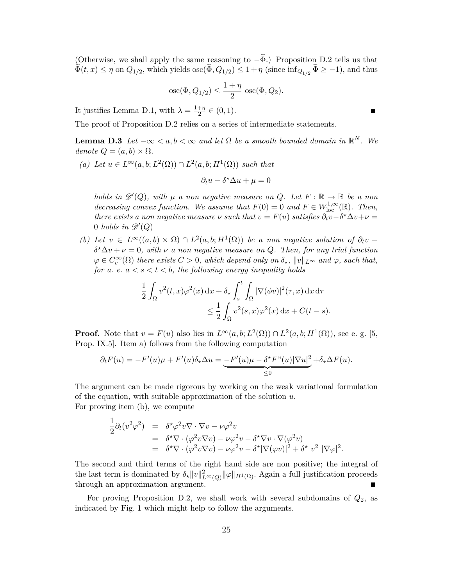(Otherwise, we shall apply the same reasoning to  $-\tilde{\Phi}$ .) Proposition D.2 tells us that  $\Phi(t, x) \leq \eta$  on  $Q_{1/2}$ , which yields  $\csc(\Phi, Q_{1/2}) \leq 1 + \eta$  (since  $\inf_{Q_{1/2}} \Phi \geq -1$ ), and thus

$$
\operatorname{osc}(\Phi, Q_{1/2}) \le \frac{1+\eta}{2} \operatorname{osc}(\Phi, Q_2).
$$

It justifies Lemma D.1, with  $\lambda = \frac{1+\eta}{2}$  $\frac{+\eta}{2} \in (0,1).$ 

The proof of Proposition D.2 relies on a series of intermediate statements.

**Lemma D.3** *Let*  $-\infty < a, b < \infty$  *and let*  $\Omega$  *be a smooth bounded domain in*  $\mathbb{R}^N$ *. We*  $denote Q = (a, b) \times \Omega$ .

 $(a)$  *Let*  $u \in L^\infty(a, b; L^2(\Omega))$  ∩  $L^2(a, b; H^1(\Omega))$  *such that* 

$$
\partial_t u - \delta^{\star} \Delta u + \mu = 0
$$

*holds in*  $\mathscr{D}'(Q)$ , with  $\mu$  *a non negative measure on*  $Q$ *. Let*  $F : \mathbb{R} \to \mathbb{R}$  *be a non decreasing convex function. We assume that*  $F(0) = 0$  *and*  $F \in W^{1,\infty}_{loc}(\mathbb{R})$ *. Then, there exists a non negative measure*  $\nu$  *such that*  $v = F(u)$  *satisfies*  $\partial_t v - \delta^* \Delta v + \nu =$  $0$  *holds in*  $\mathscr{D}'(Q)$ 

(b) Let  $v \in L^{\infty}((a, b) \times \Omega) \cap L^{2}(a, b; H^{1}(\Omega))$  be a non negative solution of  $\partial_t v$  $\delta^{\star}\Delta v + \nu = 0$ , with  $\nu$  *a non negative measure on Q. Then, for any trial function*  $\varphi \in C_c^{\infty}(\Omega)$  *there exists*  $C > 0$ *, which depend only on*  $\delta_{\star}$ *,*  $||v||_{L^{\infty}}$  *and*  $\varphi$ *, such that, for a. e.*  $a < s < t < b$ *, the following energy inequality holds* 

$$
\frac{1}{2} \int_{\Omega} v^2(t,x) \varphi^2(x) dx + \delta_{\star} \int_{s}^{t} \int_{\Omega} |\nabla(\phi v)|^2(\tau, x) dx d\tau
$$
  

$$
\leq \frac{1}{2} \int_{\Omega} v^2(s,x) \varphi^2(x) dx + C(t-s).
$$

**Proof.** Note that  $v = F(u)$  also lies in  $L^{\infty}(a, b; L^2(\Omega)) \cap L^2(a, b; H^1(\Omega))$ , see e.g. [5, Prop. IX.5]. Item a) follows from the following computation

$$
\partial_t F(u) = -F'(u)\mu + F'(u)\delta_\star \Delta u = -\frac{F'(u)\mu - \delta^\star F''(u)|\nabla u|^2}{\leq 0} + \delta_\star \Delta F(u).
$$

The argument can be made rigorous by working on the weak variational formulation of the equation, with suitable approximation of the solution *u*. For proving item (b), we compute

$$
\frac{1}{2}\partial_t(v^2\varphi^2) = \delta^{\star}\varphi^2v\nabla\cdot\nabla v - \nu\varphi^2v
$$
  
\n
$$
= \delta^{\star}\nabla\cdot(\varphi^2v\nabla v) - \nu\varphi^2v - \delta^{\star}\nabla v \cdot \nabla(\varphi^2v)
$$
  
\n
$$
= \delta^{\star}\nabla\cdot(\varphi^2v\nabla v) - \nu\varphi^2v - \delta^{\star}|\nabla(\varphi v)|^2 + \delta^{\star}v^2|\nabla\varphi|^2.
$$

The second and third terms of the right hand side are non positive; the integral of the last term is dominated by  $\delta_{\star} ||v||_{L^{\infty}(Q)}^2 ||\varphi||_{H^1(\Omega)}$ . Again a full justification proceeds through an approximation argument.

For proving Proposition D.2, we shall work with several subdomains of *Q*2, as indicated by Fig. 1 which might help to follow the arguments.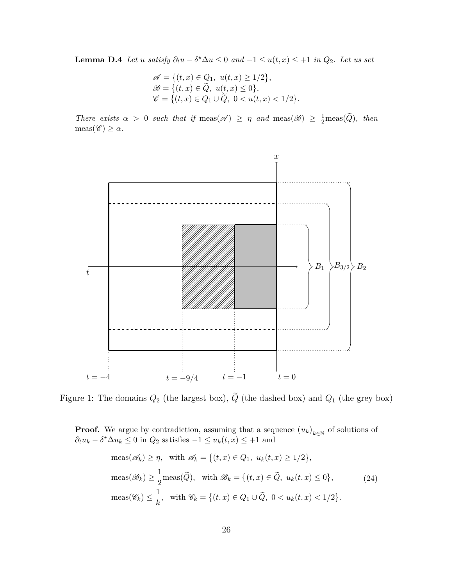**Lemma D.4** *Let u satisfy*  $\partial_t u - \delta^* \Delta u \leq 0$  *and*  $-1 \leq u(t, x) \leq +1$  *in*  $Q_2$ *. Let us set* 

$$
\mathscr{A} = \{ (t, x) \in Q_1, \ u(t, x) \ge 1/2 \}, \n\mathscr{B} = \{ (t, x) \in \tilde{Q}, \ u(t, x) \le 0 \}, \n\mathscr{C} = \{ (t, x) \in Q_1 \cup \tilde{Q}, \ 0 < u(t, x) < 1/2 \}.
$$

*There exists*  $\alpha > 0$  *such that if* meas( $\mathscr{A}$ )  $\geq \eta$  *and* meas( $\mathscr{B}$ )  $\geq \frac{1}{2}$ meas( $\tilde{Q}$ ), *then*  $meas(\mathscr{C}) \geq \alpha$ *.* 



Figure 1: The domains  $Q_2$  (the largest box),  $\tilde{Q}$  (the dashed box) and  $Q_1$  (the grey box)

**Proof.** We argue by contradiction, assuming that a sequence  $(u_k)_{k \in \mathbb{N}}$  of solutions of  $\partial_t u_k - \delta^* \Delta u_k \leq 0$  in  $Q_2$  satisfies  $-1 \leq u_k(t, x) \leq +1$  and

$$
\text{meas}(\mathscr{A}_k) \ge \eta, \quad \text{with } \mathscr{A}_k = \{(t, x) \in Q_1, \ u_k(t, x) \ge 1/2\},
$$
\n
$$
\text{meas}(\mathscr{B}_k) \ge \frac{1}{2} \text{meas}(\tilde{Q}), \quad \text{with } \mathscr{B}_k = \{(t, x) \in \tilde{Q}, \ u_k(t, x) \le 0\},
$$
\n
$$
\text{meas}(\mathscr{C}_k) \le \frac{1}{k}, \quad \text{with } \mathscr{C}_k = \{(t, x) \in Q_1 \cup \tilde{Q}, \ 0 < u_k(t, x) < 1/2\}.
$$
\n
$$
(24)
$$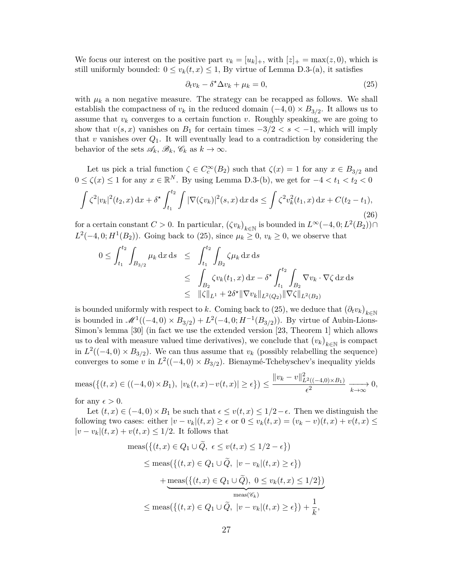We focus our interest on the positive part  $v_k = [u_k]_+$ , with  $|z|_+ = \max(z, 0)$ , which is still uniformly bounded:  $0 \le v_k(t, x) \le 1$ , By virtue of Lemma D.3-(a), it satisfies

$$
\partial_t v_k - \delta^* \Delta v_k + \mu_k = 0,\tag{25}
$$

with  $\mu_k$  a non negative measure. The strategy can be recapped as follows. We shall establish the compactness of  $v_k$  in the reduced domain  $(-4,0) \times B_{3/2}$ . It allows us to assume that  $v_k$  converges to a certain function  $v$ . Roughly speaking, we are going to show that  $v(s, x)$  vanishes on  $B_1$  for certain times  $-3/2 < s < -1$ , which will imply that  $v$  vanishes over  $Q_1$ . It will eventually lead to a contradiction by considering the behavior of the sets  $\mathscr{A}_k, \mathscr{B}_k, \mathscr{C}_k$  as  $k \to \infty$ .

Let us pick a trial function  $\zeta \in C_c^{\infty}(B_2)$  such that  $\zeta(x) = 1$  for any  $x \in B_{3/2}$  and  $0 \le \zeta(x) \le 1$  for any  $x \in \mathbb{R}^N$ . By using Lemma D.3-(b), we get for  $-4 < t_1 < t_2 < 0$ 

$$
\int \zeta^2 |v_k|^2 (t_2, x) \, \mathrm{d}x + \delta^* \int_{t_1}^{t_2} \int |\nabla(\zeta v_k)|^2 (s, x) \, \mathrm{d}x \, \mathrm{d}s \le \int \zeta^2 v_k^2 (t_1, x) \, \mathrm{d}x + C(t_2 - t_1),\tag{26}
$$

for a certain constant  $C > 0$ . In particular,  $(\zeta v_k)_{k \in \mathbb{N}}$  is bounded in  $L^{\infty}(-4, 0; L^2(B_2)) \cap$  $L^2(-4,0; H^1(B_2))$ . Going back to (25), since  $\mu_k \geq 0$ ,  $v_k \geq 0$ , we observe that

$$
0 \leq \int_{t_1}^{t_2} \int_{B_{3/2}} \mu_k \,dx \,ds \leq \int_{t_1}^{t_2} \int_{B_2} \zeta \mu_k \,dx \,ds
$$
  
\n
$$
\leq \int_{B_2} \zeta v_k(t_1, x) \,dx - \delta^* \int_{t_1}^{t_2} \int_{B_2} \nabla v_k \cdot \nabla \zeta \,dx \,ds
$$
  
\n
$$
\leq \|\zeta\|_{L^1} + 2\delta^* \|\nabla v_k\|_{L^2(Q_2)} \|\nabla \zeta\|_{L^2(B_2)}
$$

is bounded uniformly with respect to *k*. Coming back to  $(25)$ , we deduce that  $(\partial_t v_k)_{k \in \mathbb{N}}$ is bounded in  $\mathcal{M}^1((-4,0) \times B_{3/2}) + L^2(-4,0;H^{-1}(B_{3/2}))$ . By virtue of Aubin-Lions-Simon's lemma [30] (in fact we use the extended version [23, Theorem 1] which allows us to deal with measure valued time derivatives), we conclude that  $(v_k)_{k \in \mathbb{N}}$  is compact in  $L^2((-4,0) \times B_{3/2})$ . We can thus assume that  $v_k$  (possibly relabelling the sequence) converges to some *v* in  $L^2((-4,0) \times B_{3/2})$ . Bienaymé-Tchebyschev's inequality yields

$$
\text{meas}\left(\{(t,x)\in((-4,0)\times B_1), |v_k(t,x)-v(t,x)|\geq \epsilon\}\right) \leq \frac{||v_k-v||^2_{L^2((-4,0)\times B_1)}}{\epsilon^2} \xrightarrow[k\to\infty]{} 0,
$$

for any  $\epsilon > 0$ .

Let  $(t, x) \in (-4, 0) \times B_1$  be such that  $\epsilon \leq v(t, x) \leq 1/2 - \epsilon$ . Then we distinguish the following two cases: either  $|v - v_k|(t, x) \ge \epsilon$  or  $0 \le v_k(t, x) = (v_k - v)(t, x) + v(t, x) \le$  $|v - v_k|(t, x) + v(t, x) ≤ 1/2$ . It follows that

$$
\begin{aligned}\n\text{meas}\left(\left\{(t,x)\in Q_1\cup Q,\ \epsilon\leq v(t,x)\leq 1/2-\epsilon\right\}\right) \\
&\leq \text{meas}\left(\left\{(t,x)\in Q_1\cup \widetilde{Q},\ |v-v_k|(t,x)\geq \epsilon\right\}\right) \\
&\quad + \underbrace{\text{meas}\left(\left\{(t,x)\in Q_1\cup \widetilde{Q}\right),\ 0\leq v_k(t,x)\leq 1/2\right\}\right)}_{\text{meas}(\mathscr{C}_k)} \\
&\leq \text{meas}\left(\left\{(t,x)\in Q_1\cup \widetilde{Q},\ |v-v_k|(t,x)\geq \epsilon\right\}\right) + \frac{1}{k},\n\end{aligned}
$$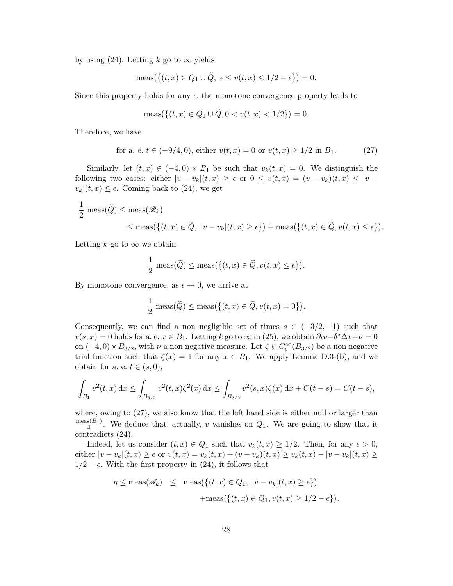by using  $(24)$ . Letting *k* go to  $\infty$  yields

$$
\operatorname{meas}\left(\{(t,x)\in Q_1\cup Q,\ \epsilon\leq v(t,x)\leq 1/2-\epsilon\}\right)=0.
$$

Since this property holds for any  $\epsilon$ , the monotone convergence property leads to

$$
\operatorname{meas}\left(\{(t,x)\in Q_1\cup Q, 0
$$

Therefore, we have

for a. e. 
$$
t \in (-9/4, 0)
$$
, either  $v(t, x) = 0$  or  $v(t, x) \ge 1/2$  in  $B_1$ . (27)

Similarly, let  $(t, x) \in (-4, 0) \times B_1$  be such that  $v_k(t, x) = 0$ . We distinguish the following two cases: either  $|v - v_k|(t, x) \geq \epsilon$  or  $0 \leq v(t, x) = (v - v_k)(t, x) \leq |v - v_k|$  $v_k|(t, x) \leq \epsilon$ . Coming back to (24), we get

$$
\frac{1}{2} \operatorname{meas}(\tilde{Q}) \le \operatorname{meas}(\mathscr{B}_k)
$$
  
\$\le \operatorname{meas}(\{(t, x) \in \tilde{Q}, |v - v\_k|(t, x) \ge \epsilon\}) + \operatorname{meas}(\{(t, x) \in \tilde{Q}, v(t, x) \le \epsilon\}).

Letting  $k$  go to  $\infty$  we obtain

$$
\frac{1}{2} \operatorname{meas}(\widetilde{Q}) \le \operatorname{meas}(\{(t, x) \in \widetilde{Q}, v(t, x) \le \epsilon\}).
$$

By monotone convergence, as  $\epsilon \to 0$ , we arrive at

$$
\frac{1}{2} \operatorname{meas}(\tilde{Q}) \le \operatorname{meas}(\{(t, x) \in \tilde{Q}, v(t, x) = 0\}).
$$

Consequently, we can find a non negligible set of times  $s \in (-3/2, -1)$  such that  $v(s, x) = 0$  holds for a. e.  $x \in B_1$ . Letting  $k$  go to  $\infty$  in (25), we obtain  $\partial_t v - \delta^* \Delta v + \nu = 0$ on  $(-4,0) \times B_{3/2}$ , with *v* a non negative measure. Let  $\zeta \in C_c^{\infty}(B_{3/2})$  be a non negative trial function such that  $\zeta(x) = 1$  for any  $x \in B_1$ . We apply Lemma D.3-(b), and we obtain for a. e.  $t \in (s, 0)$ ,

$$
\int_{B_1} v^2(t,x) dx \le \int_{B_{3/2}} v^2(t,x)\zeta^2(x) dx \le \int_{B_{3/2}} v^2(s,x)\zeta(x) dx + C(t-s) = C(t-s),
$$

where, owing to  $(27)$ , we also know that the left hand side is either null or larger than  $meas(B_1)$  $\frac{4}{4}$ . We deduce that, actually, *v* vanishes on  $Q_1$ . We are going to show that it contradicts (24).

Indeed, let us consider  $(t, x) \in Q_1$  such that  $v_k(t, x) \geq 1/2$ . Then, for any  $\epsilon > 0$ , either  $|v - v_k|(t, x) \ge \epsilon$  or  $v(t, x) = v_k(t, x) + (v - v_k)(t, x) \ge v_k(t, x) - |v - v_k|(t, x) \ge$  $1/2 - \epsilon$ . With the first property in (24), it follows that

$$
\eta \le \operatorname{meas}(\mathscr{A}_k) \le \operatorname{meas}\left(\{(t, x) \in Q_1, \ |v - v_k|(t, x) \ge \epsilon\}\right)
$$

$$
+\operatorname{meas}\left(\{(t, x) \in Q_1, v(t, x) \ge 1/2 - \epsilon\}\right).
$$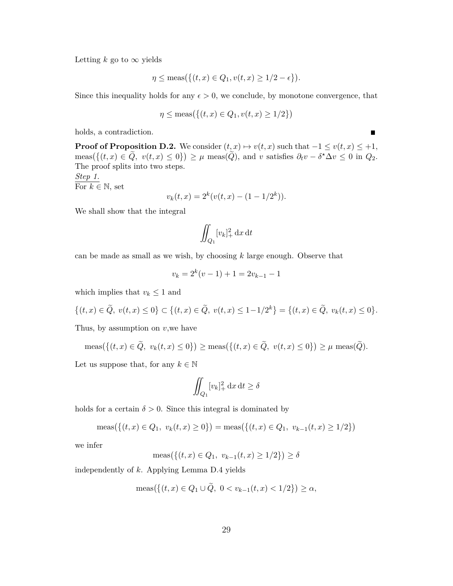Letting  $k$  go to  $\infty$  yields

$$
\eta \le \operatorname{meas}\left(\{(t, x) \in Q_1, v(t, x) \ge 1/2 - \epsilon\}\right).
$$

Since this inequality holds for any  $\epsilon > 0$ , we conclude, by monotone convergence, that

$$
\eta \le \text{meas}\big(\{(t, x) \in Q_1, v(t, x) \ge 1/2\}\big)
$$

holds, a contradiction.

**Proof of Proposition D.2.** We consider  $(t, x) \mapsto v(t, x)$  such that  $-1 \le v(t, x) \le +1$ ,  $\text{meas}(\{(t, x) \in \tilde{Q}, v(t, x) \leq 0\}) \geq \mu \text{ meas}(\tilde{Q}), \text{ and } v \text{ satisfies } \partial_t v - \delta^* \Delta v \leq 0 \text{ in } Q_2.$ The proof splits into two steps. *Step 1.* For  $k \in \mathbb{N}$ , set

$$
v_k(t, x) = 2^k (v(t, x) - (1 - 1/2^k)).
$$

We shall show that the integral

$$
\iint_{Q_1} [v_k]_+^2 \, \mathrm{d}x \, \mathrm{d}t
$$

can be made as small as we wish, by choosing *k* large enough. Observe that

$$
v_k = 2^k(v - 1) + 1 = 2v_{k-1} - 1
$$

which implies that  $v_k \leq 1$  and

$$
\{(t,x)\in\tilde{Q},\ v(t,x)\leq 0\}\subset\{(t,x)\in\tilde{Q},\ v(t,x)\leq 1-1/2^k\}=\{(t,x)\in\tilde{Q},\ v_k(t,x)\leq 0\}.
$$

Thus, by assumption on *v*,we have

$$
\operatorname{meas}\left(\{(t,x)\in Q,\ v_k(t,x)\leq 0\}\right)\geq \operatorname{meas}\left(\{(t,x)\in Q,\ v(t,x)\leq 0\}\right)\geq \mu\operatorname{meas}(Q).
$$

Let us suppose that, for any  $k \in \mathbb{N}$ 

$$
\iint_{Q_1} [v_k]_+^2 \, \mathrm{d}x \, \mathrm{d}t \ge \delta
$$

holds for a certain  $\delta > 0$ . Since this integral is dominated by

$$
\operatorname{meas}(\{(t,x)\in Q_1,\ v_k(t,x)\geq 0\}) = \operatorname{meas}(\{(t,x)\in Q_1,\ v_{k-1}(t,x)\geq 1/2\})
$$

we infer

$$
\operatorname{meas}\left(\{(t,x)\in Q_1,\ v_{k-1}(t,x)\geq 1/2\}\right)\geq \delta
$$

independently of *k*. Applying Lemma D.4 yields

$$
\operatorname{meas}\left(\{(t,x)\in Q_1\cup\widetilde{Q},\ 0
$$

 $\blacksquare$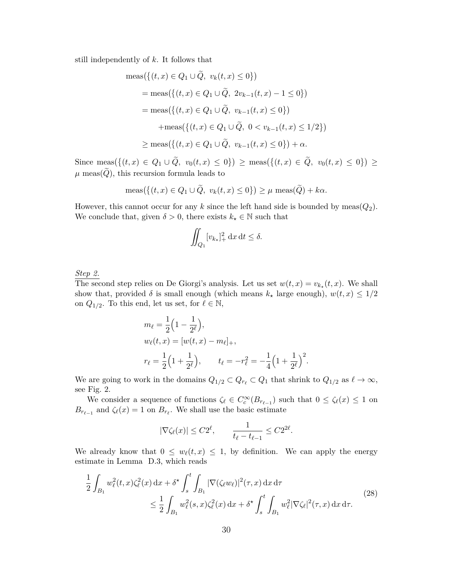still independently of *k*. It follows that

$$
\begin{aligned}\n\text{meas}\left(\{(t,x)\in Q_1\cup\tilde{Q},\ v_k(t,x)\leq 0\}\right) \\
&= \text{meas}\left(\{(t,x)\in Q_1\cup\tilde{Q},\ 2v_{k-1}(t,x)-1\leq 0\}\right) \\
&= \text{meas}\left(\{(t,x)\in Q_1\cup\tilde{Q},\ v_{k-1}(t,x)\leq 0\}\right) \\
&\quad + \text{meas}\left(\{(t,x)\in Q_1\cup\tilde{Q},\ 0
$$

Since  $\text{meas}(\{(t,x) \in Q_1 \cup Q, v_0(t,x) \le 0\})$  ≥  $\text{meas}(\{(t,x) \in Q, v_0(t,x) \le 0\})$  ≥  $\mu$  meas( $\tilde{Q}$ ), this recursion formula leads to

$$
\operatorname{meas}\left(\{(t,x)\in Q_1\cup\widetilde{Q},\ v_k(t,x)\leq 0\}\right)\geq\mu\ \operatorname{meas}(\widetilde{Q})+k\alpha.
$$

However, this cannot occur for any k since the left hand side is bounded by meas( $Q_2$ ). We conclude that, given  $\delta > 0$ , there exists  $k_{\star} \in \mathbb{N}$  such that

$$
\iint_{Q_1} [v_{k_\star}]_+^2 \, \mathrm{d}x \, \mathrm{d}t \le \delta.
$$

*Step 2.*

The second step relies on De Giorgi's analysis. Let us set  $w(t, x) = v_{k_\star}(t, x)$ . We shall show that, provided  $\delta$  is small enough (which means  $k_{\star}$  large enough),  $w(t, x) \leq 1/2$ on  $Q_{1/2}$ . To this end, let us set, for  $\ell \in \mathbb{N}$ ,

$$
m_{\ell} = \frac{1}{2} \left( 1 - \frac{1}{2^{\ell}} \right),
$$
  
\n
$$
w_{\ell}(t, x) = [w(t, x) - m_{\ell}]_{+},
$$
  
\n
$$
r_{\ell} = \frac{1}{2} \left( 1 + \frac{1}{2^{\ell}} \right), \qquad t_{\ell} = -r_{\ell}^{2} = -\frac{1}{4} \left( 1 + \frac{1}{2^{\ell}} \right)^{2}.
$$

We are going to work in the domains  $Q_{1/2} \subset Q_{r_\ell} \subset Q_1$  that shrink to  $Q_{1/2}$  as  $\ell \to \infty$ , see Fig. 2.

We consider a sequence of functions  $\zeta_{\ell} \in C_c^{\infty}(B_{r_{\ell-1}})$  such that  $0 \leq \zeta_{\ell}(x) \leq 1$  on  $B_{r_{\ell-1}}$  and  $\zeta_{\ell}(x) = 1$  on  $B_{r_{\ell}}$ . We shall use the basic estimate

$$
|\nabla \zeta_{\ell}(x)| \le C2^{\ell}, \qquad \frac{1}{t_{\ell} - t_{\ell-1}} \le C2^{2\ell}.
$$

We already know that  $0 \leq w_{\ell}(t, x) \leq 1$ , by definition. We can apply the energy estimate in Lemma D.3, which reads

$$
\frac{1}{2} \int_{B_1} w_{\ell}^2(t, x) \zeta_{\ell}^2(x) dx + \delta^{\star} \int_s^t \int_{B_1} |\nabla(\zeta_{\ell} w_{\ell})|^2(\tau, x) dx d\tau
$$
\n
$$
\leq \frac{1}{2} \int_{B_1} w_{\ell}^2(s, x) \zeta_{\ell}^2(x) dx + \delta^{\star} \int_s^t \int_{B_1} w_{\ell}^2 |\nabla \zeta_{\ell}|^2(\tau, x) dx d\tau.
$$
\n(28)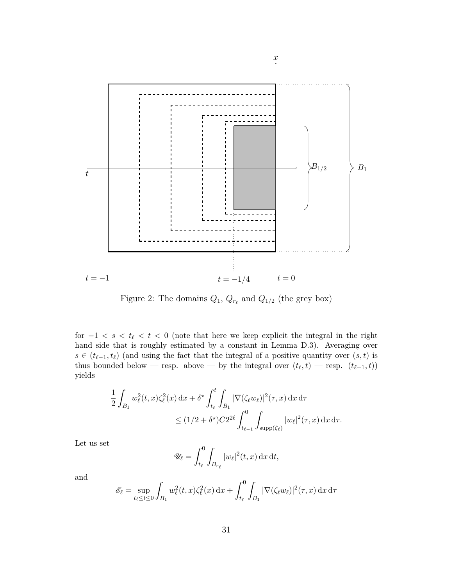

Figure 2: The domains  $Q_1$ ,  $Q_{r_\ell}$  and  $Q_{1/2}$  (the grey box)

for  $-1 < s < t_\ell < t < 0$  (note that here we keep explicit the integral in the right hand side that is roughly estimated by a constant in Lemma D.3). Averaging over *s* ∈ ( $t_{\ell-1}, t_{\ell}$ ) (and using the fact that the integral of a positive quantity over  $(s, t)$  is thus bounded below — resp. above — by the integral over  $(t_{\ell}, t)$  — resp.  $(t_{\ell-1}, t)$ ) yields

$$
\frac{1}{2} \int_{B_1} w_{\ell}^2(t, x) \zeta_{\ell}^2(x) dx + \delta^{\star} \int_{t_{\ell}}^t \int_{B_1} |\nabla(\zeta_{\ell} w_{\ell})|^2(\tau, x) dx d\tau
$$
  

$$
\leq (1/2 + \delta^{\star}) C 2^{2\ell} \int_{t_{\ell-1}}^0 \int_{\text{supp}(\zeta_{\ell})} |w_{\ell}|^2(\tau, x) dx d\tau.
$$

Let us set

$$
\mathscr{U}_{\ell} = \int_{t_{\ell}}^{0} \int_{B_{r_{\ell}}} |w_{\ell}|^2(t, x) \, \mathrm{d}x \, \mathrm{d}t,
$$

and

$$
\mathscr{E}_{\ell} = \sup_{t_{\ell} \le t \le 0} \int_{B_1} w_{\ell}^2(t, x) \zeta_{\ell}^2(x) dx + \int_{t_{\ell}}^0 \int_{B_1} |\nabla(\zeta_{\ell} w_{\ell})|^2(\tau, x) dx d\tau
$$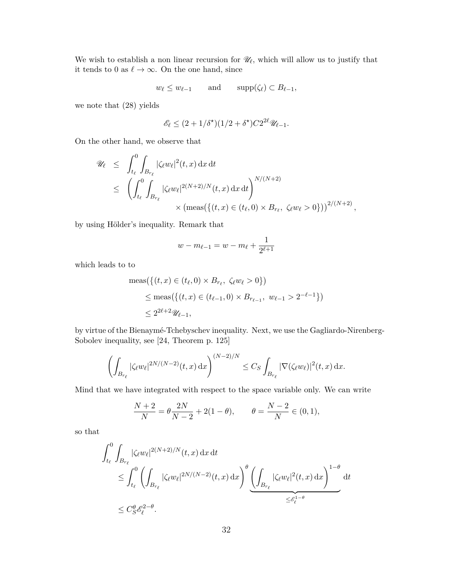We wish to establish a non linear recursion for  $\mathscr{U}_{\ell}$ , which will allow us to justify that it tends to 0 as  $\ell \to \infty$ . On the one hand, since

$$
w_{\ell} \leq w_{\ell-1}
$$
 and  $\text{supp}(\zeta_{\ell}) \subset B_{\ell-1}$ ,

we note that (28) yields

$$
\mathscr{E}_{\ell} \le (2 + 1/\delta^{\star})(1/2 + \delta^{\star})C2^{2\ell} \mathscr{U}_{\ell-1}.
$$

On the other hand, we observe that

$$
\mathcal{U}_{\ell} \leq \int_{t_{\ell}}^{0} \int_{B_{r_{\ell}}} |\zeta_{\ell}w_{\ell}|^{2}(t,x) dx dt
$$
  
\n
$$
\leq \left( \int_{t_{\ell}}^{0} \int_{B_{r_{\ell}}} |\zeta_{\ell}w_{\ell}|^{2(N+2)/N}(t,x) dx dt \right)^{N/(N+2)}
$$
  
\n
$$
\times (\text{meas}(\{(t,x) \in (t_{\ell}, 0) \times B_{r_{\ell}}, \ \zeta_{\ell}w_{\ell} > 0\}))^{2/(N+2)},
$$

by using Hölder's inequality. Remark that

$$
w - m_{\ell-1} = w - m_{\ell} + \frac{1}{2^{\ell+1}}
$$

which leads to to

$$
\begin{aligned} \text{meas}\big(\{(t,x) \in (t_\ell, 0) \times B_{r_\ell}, \ \zeta_\ell w_\ell > 0\}\big) \\ &\leq \text{meas}\big(\{(t,x) \in (t_{\ell-1}, 0) \times B_{r_{\ell-1}}, \ w_{\ell-1} > 2^{-\ell-1}\}\big) \\ &\leq 2^{2\ell+2} \mathscr{U}_{\ell-1}, \end{aligned}
$$

by virtue of the Bienaymé-Tchebyschev inequality. Next, we use the Gagliardo-Nirenberg-Sobolev inequality, see [24, Theorem p. 125]

$$
\left(\int_{B_{r_{\ell}}} |\zeta_{\ell}w_{\ell}|^{2N/(N-2)}(t,x) dx\right)^{(N-2)/N} \leq C_S \int_{B_{r_{\ell}}} |\nabla(\zeta_{\ell}w_{\ell})|^2(t,x) dx.
$$

Mind that we have integrated with respect to the space variable only. We can write

$$
\frac{N+2}{N} = \theta \frac{2N}{N-2} + 2(1-\theta), \qquad \theta = \frac{N-2}{N} \in (0,1),
$$

so that

$$
\int_{t_{\ell}}^{0} \int_{B_{r_{\ell}}} |\zeta_{\ell}w_{\ell}|^{2(N+2)/N}(t,x) dx dt
$$
\n
$$
\leq \int_{t_{\ell}}^{0} \left( \int_{B_{r_{\ell}}} |\zeta_{\ell}w_{\ell}|^{2N/(N-2)}(t,x) dx \right)^{\theta} \underbrace{\left( \int_{B_{r_{\ell}}} |\zeta_{\ell}w_{\ell}|^{2}(t,x) dx \right)^{1-\theta}}_{\leq \mathscr{E}_{\ell}^{1-\theta}} dt
$$
\n
$$
\leq C_{S}^{\theta} \mathscr{E}_{\ell}^{2-\theta}.
$$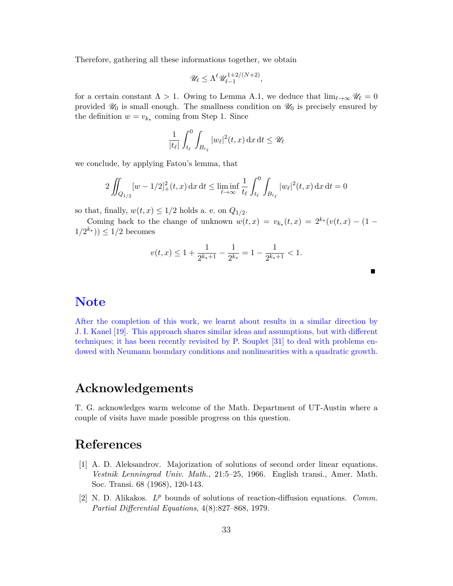Therefore, gathering all these informations together, we obtain

$$
\mathscr{U}_\ell \leq \Lambda^\ell \mathscr{U}_{\ell-1}^{1+2/(N+2)},
$$

for a certain constant  $\Lambda > 1$ . Owing to Lemma A.1, we deduce that  $\lim_{\ell \to \infty} \mathcal{U}_{\ell} = 0$ provided  $\mathcal{U}_0$  is small enough. The smallness condition on  $\mathcal{U}_0$  is precisely ensured by the definition  $w = v_{k_{\star}}$  coming from Step 1. Since

$$
\frac{1}{|t_{\ell}|}\int_{t_{\ell}}^{0}\int_{B_{r_{\ell}}}|w_{\ell}|^{2}(t,x)\,\mathrm{d}x\,\mathrm{d}t\leq\mathscr{U}_{\ell}
$$

we conclude, by applying Fatou's lemma, that

$$
2\iint_{Q_{1/2}} [w - 1/2]_{+}^2(t, x) \,dx \,dt \le \liminf_{\ell \to \infty} \frac{1}{t_{\ell}} \int_{t_{\ell}}^0 \int_{B_{r_{\ell}}} |w_{\ell}|^2(t, x) \,dx \,dt = 0
$$

so that, finally,  $w(t, x) \leq 1/2$  holds a. e. on  $Q_{1/2}$ .

Coming back to the change of unknown  $w(t, x) = v_{k*}(t, x) = 2^{k*}(v(t, x) - (1 1/2^{k_{\star}}$ ))  $\leq 1/2$  becomes

$$
v(t,x) \le 1 + \frac{1}{2^{k_{\star}+1}} - \frac{1}{2^{k_{\star}}} = 1 - \frac{1}{2^{k_{\star}+1}} < 1.
$$

### **Note**

After the completion of this work, we learnt about results in a similar direction by J. I. Kanel [19]. This approach shares similar ideas and assumptions, but with different techniques; it has been recently revisited by P. Souplet [31] to deal with problems endowed with Neumann boundary conditions and nonlinearities with a quadratic growth.

#### **Acknowledgements**

T. G. acknowledges warm welcome of the Math. Department of UT-Austin where a couple of visits have made possible progress on this question.

#### **References**

- [1] A. D. Aleksandrov. Majorization of solutions of second order linear equations. *Vestnik Lenningrad Univ. Math.*, 21:5–25, 1966. English transi., Amer. Math. Soc. Transi. 68 (1968), 120-143.
- [2] N. D. Alikakos. *L <sup>p</sup>* bounds of solutions of reaction-diffusion equations. *Comm. Partial Differential Equations*, 4(8):827–868, 1979.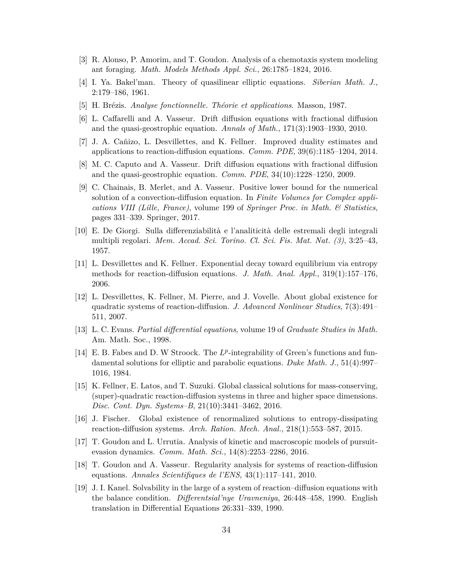- [3] R. Alonso, P. Amorim, and T. Goudon. Analysis of a chemotaxis system modeling ant foraging. *Math. Models Methods Appl. Sci.*, 26:1785–1824, 2016.
- [4] I. Ya. Bakel'man. Theory of quasilinear elliptic equations. *Siberian Math. J.*, 2:179–186, 1961.
- [5] H. Brézis. *Analyse fonctionnelle. Théorie et applications*. Masson, 1987.
- [6] L. Caffarelli and A. Vasseur. Drift diffusion equations with fractional diffusion and the quasi-geostrophic equation. *Annals of Math.*, 171(3):1903–1930, 2010.
- [7] J. A. Cañizo, L. Desvillettes, and K. Fellner. Improved duality estimates and applications to reaction-diffusion equations. *Comm. PDE*, 39(6):1185–1204, 2014.
- [8] M. C. Caputo and A. Vasseur. Drift diffusion equations with fractional diffusion and the quasi-geostrophic equation. *Comm. PDE*, 34(10):1228–1250, 2009.
- [9] C. Chainais, B. Merlet, and A. Vasseur. Positive lower bound for the numerical solution of a convection-diffusion equation. In *Finite Volumes for Complex applications VIII (Lille, France)*, volume 199 of *Springer Proc. in Math. & Statistics*, pages 331–339. Springer, 2017.
- [10] E. De Giorgi. Sulla differenziabilità e l'analiticità delle estremali degli integrali multipli regolari. *Mem. Accad. Sci. Torino. Cl. Sci. Fis. Mat. Nat. (3)*, 3:25–43, 1957.
- [11] L. Desvillettes and K. Fellner. Exponential decay toward equilibrium via entropy methods for reaction-diffusion equations. *J. Math. Anal. Appl.*, 319(1):157–176, 2006.
- [12] L. Desvillettes, K. Fellner, M. Pierre, and J. Vovelle. About global existence for quadratic systems of reaction-diffusion. *J. Advanced Nonlinear Studies*, 7(3):491– 511, 2007.
- [13] L. C. Evans. *Partial differential equations*, volume 19 of *Graduate Studies in Math.* Am. Math. Soc., 1998.
- [14] E. B. Fabes and D. W Stroock. The  $L^p$ -integrability of Green's functions and fundamental solutions for elliptic and parabolic equations. *Duke Math. J.*, 51(4):997– 1016, 1984.
- [15] K. Fellner, E. Latos, and T. Suzuki. Global classical solutions for mass-conserving, (super)-quadratic reaction-diffusion systems in three and higher space dimensions. *Disc. Cont. Dyn. Systems–B*, 21(10):3441–3462, 2016.
- [16] J. Fischer. Global existence of renormalized solutions to entropy-dissipating reaction-diffusion systems. *Arch. Ration. Mech. Anal.*, 218(1):553–587, 2015.
- [17] T. Goudon and L. Urrutia. Analysis of kinetic and macroscopic models of pursuitevasion dynamics. *Comm. Math. Sci.*, 14(8):2253–2286, 2016.
- [18] T. Goudon and A. Vasseur. Regularity analysis for systems of reaction-diffusion equations. *Annales Scientifiques de l'ENS*, 43(1):117–141, 2010.
- [19] J. I. Kanel. Solvability in the large of a system of reaction–diffusion equations with the balance condition. *Differentsial'nye Uravneniya*, 26:448–458, 1990. English translation in Differential Equations 26:331–339, 1990.